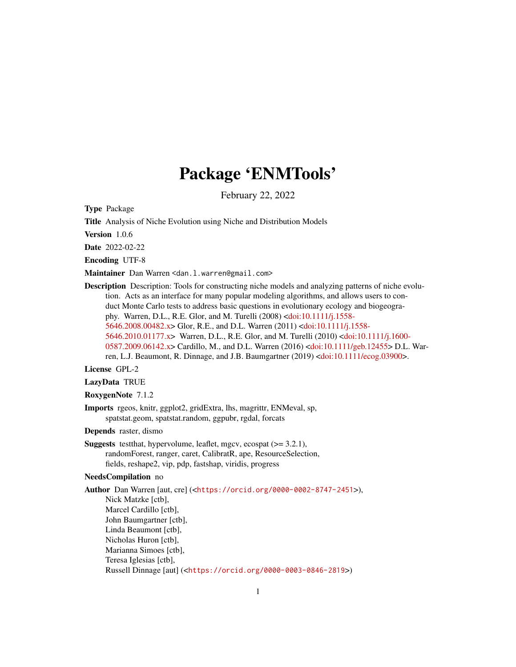## Package 'ENMTools'

February 22, 2022

<span id="page-0-0"></span>Type Package

Title Analysis of Niche Evolution using Niche and Distribution Models

Version 1.0.6

Date 2022-02-22

Encoding UTF-8

Maintainer Dan Warren <dan.l.warren@gmail.com>

Description Description: Tools for constructing niche models and analyzing patterns of niche evolution. Acts as an interface for many popular modeling algorithms, and allows users to conduct Monte Carlo tests to address basic questions in evolutionary ecology and biogeography. Warren, D.L., R.E. Glor, and M. Turelli (2008) [<doi:10.1111/j.1558-](https://doi.org/10.1111/j.1558-5646.2008.00482.x) [5646.2008.00482.x>](https://doi.org/10.1111/j.1558-5646.2008.00482.x) Glor, R.E., and D.L. Warren (2011) [<doi:10.1111/j.1558-](https://doi.org/10.1111/j.1558-5646.2010.01177.x) [5646.2010.01177.x>](https://doi.org/10.1111/j.1558-5646.2010.01177.x) Warren, D.L., R.E. Glor, and M. Turelli (2010) [<doi:10.1111/j.1600-](https://doi.org/10.1111/j.1600-0587.2009.06142.x) [0587.2009.06142.x>](https://doi.org/10.1111/j.1600-0587.2009.06142.x) Cardillo, M., and D.L. Warren (2016) [<doi:10.1111/geb.12455>](https://doi.org/10.1111/geb.12455) D.L. Warren, L.J. Beaumont, R. Dinnage, and J.B. Baumgartner (2019) [<doi:10.1111/ecog.03900>](https://doi.org/10.1111/ecog.03900).

License GPL-2

LazyData TRUE

RoxygenNote 7.1.2

Imports rgeos, knitr, ggplot2, gridExtra, lhs, magrittr, ENMeval, sp, spatstat.geom, spatstat.random, ggpubr, rgdal, forcats

Depends raster, dismo

Suggests testthat, hypervolume, leaflet, mgcv, ecospat (>= 3.2.1), randomForest, ranger, caret, CalibratR, ape, ResourceSelection, fields, reshape2, vip, pdp, fastshap, viridis, progress

#### NeedsCompilation no

Author Dan Warren [aut, cre] (<<https://orcid.org/0000-0002-8747-2451>>), Nick Matzke [ctb], Marcel Cardillo [ctb], John Baumgartner [ctb], Linda Beaumont [ctb], Nicholas Huron [ctb], Marianna Simoes [ctb], Teresa Iglesias [ctb], Russell Dinnage [aut] (<<https://orcid.org/0000-0003-0846-2819>>)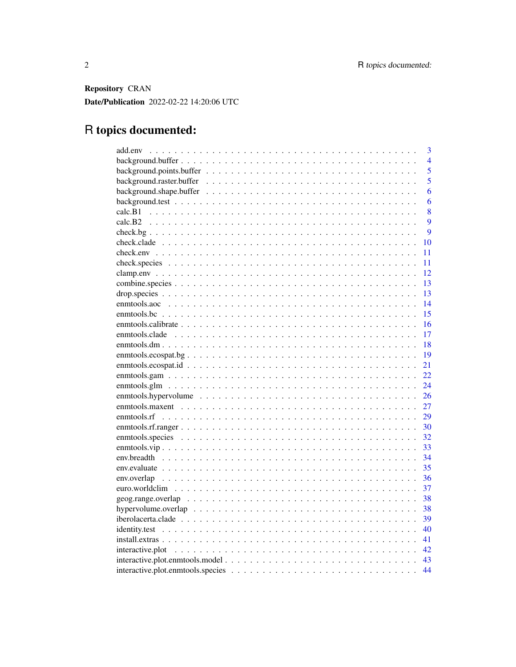Repository CRAN Date/Publication 2022-02-22 14:20:06 UTC

## R topics documented:

|                     | 3              |
|---------------------|----------------|
|                     | $\overline{4}$ |
|                     | 5              |
|                     | 5              |
|                     | 6              |
|                     | 6              |
|                     | 8              |
|                     | 9              |
|                     | 9              |
|                     | 10             |
|                     | 11             |
|                     | 11             |
|                     | 12             |
|                     | 13             |
|                     | 13             |
|                     | 14             |
|                     | 15             |
|                     | 16             |
|                     | 17             |
|                     | 18             |
| emntools.ecospat.bg | 19             |
|                     | 21             |
| $emntools.gam$      | 22             |
|                     | 24             |
|                     | 26             |
|                     | 27             |
|                     | 29             |
|                     | 30             |
|                     | 32             |
|                     | 33             |
|                     | 34             |
|                     | 35             |
|                     | 36             |
|                     | 37             |
|                     | 38             |
|                     | 38             |
|                     | 39             |
|                     | 40             |
|                     | 41             |
|                     | 42             |
|                     |                |
|                     | 44             |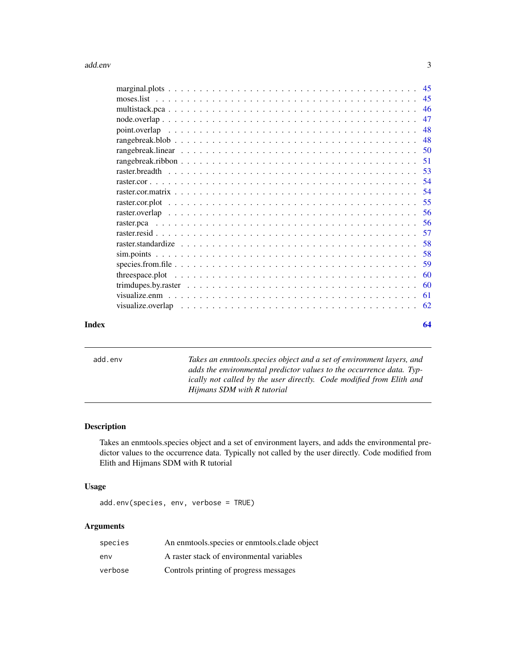#### <span id="page-2-0"></span>add.env 3

| 45   |
|------|
| 46   |
| 47   |
| 48   |
| 48   |
|      |
| - 51 |
|      |
|      |
| .54  |
| 55   |
|      |
| 56   |
| 57   |
| 58   |
| 58   |
| 59   |
| 60   |
| 60   |
| 61   |
| 62   |
|      |

#### **Index** [64](#page-63-0)

add.env *Takes an enmtools.species object and a set of environment layers, and adds the environmental predictor values to the occurrence data. Typically not called by the user directly. Code modified from Elith and Hijmans SDM with R tutorial*

#### Description

Takes an enmtools.species object and a set of environment layers, and adds the environmental predictor values to the occurrence data. Typically not called by the user directly. Code modified from Elith and Hijmans SDM with R tutorial

#### Usage

add.env(species, env, verbose = TRUE)

| species | An enmtools.species or enmtools.clade object |
|---------|----------------------------------------------|
| env     | A raster stack of environmental variables    |
| verbose | Controls printing of progress messages       |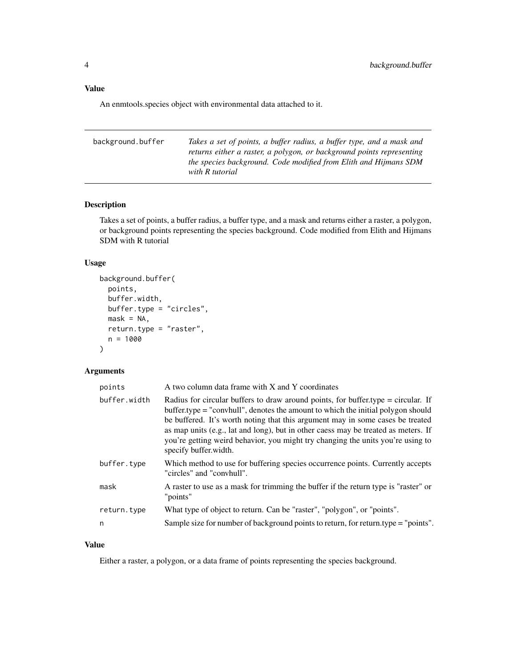#### <span id="page-3-0"></span>Value

An enmtools.species object with environmental data attached to it.

| background.buffer | Takes a set of points, a buffer radius, a buffer type, and a mask and |
|-------------------|-----------------------------------------------------------------------|
|                   | returns either a raster, a polygon, or background points representing |
|                   | the species background. Code modified from Elith and Hijmans SDM      |
|                   | with R tutorial                                                       |
|                   |                                                                       |

#### Description

Takes a set of points, a buffer radius, a buffer type, and a mask and returns either a raster, a polygon, or background points representing the species background. Code modified from Elith and Hijmans SDM with R tutorial

#### Usage

```
background.buffer(
 points,
 buffer.width,
 buffer.type = "circles",
 mask = NA,
  return.type = "raster",
 n = 1000
)
```
#### Arguments

| points       | A two column data frame with X and Y coordinates                                                                                                                                                                                                                                                                                                                                                                                                            |
|--------------|-------------------------------------------------------------------------------------------------------------------------------------------------------------------------------------------------------------------------------------------------------------------------------------------------------------------------------------------------------------------------------------------------------------------------------------------------------------|
| buffer.width | Radius for circular buffers to draw around points, for buffer type $=$ circular. If<br>buffer.type = "convhull", denotes the amount to which the initial polygon should<br>be buffered. It's worth noting that this argument may in some cases be treated<br>as map units (e.g., lat and long), but in other caess may be treated as meters. If<br>you're getting weird behavior, you might try changing the units you're using to<br>specify buffer.width. |
| buffer.type  | Which method to use for buffering species occurrence points. Currently accepts<br>"circles" and "convhull".                                                                                                                                                                                                                                                                                                                                                 |
| mask         | A raster to use as a mask for trimming the buffer if the return type is "raster" or<br>"points"                                                                                                                                                                                                                                                                                                                                                             |
| return.type  | What type of object to return. Can be "raster", "polygon", or "points".                                                                                                                                                                                                                                                                                                                                                                                     |
| n            | Sample size for number of background points to return, for return.type = "points".                                                                                                                                                                                                                                                                                                                                                                          |

#### Value

Either a raster, a polygon, or a data frame of points representing the species background.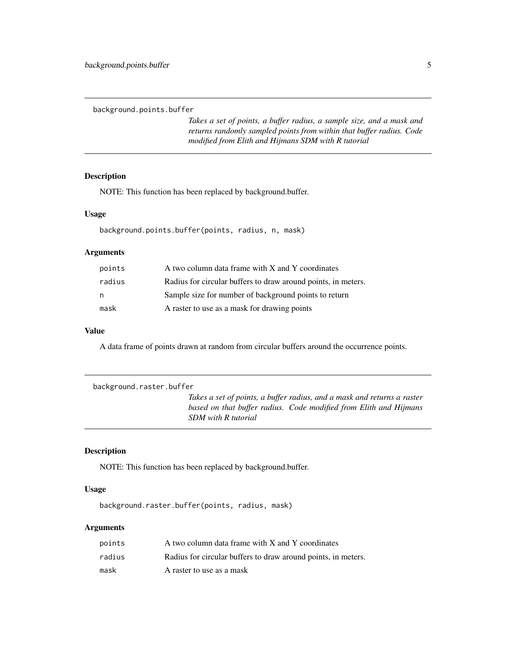<span id="page-4-0"></span>background.points.buffer

*Takes a set of points, a buffer radius, a sample size, and a mask and returns randomly sampled points from within that buffer radius. Code modified from Elith and Hijmans SDM with R tutorial*

#### Description

NOTE: This function has been replaced by background.buffer.

#### Usage

background.points.buffer(points, radius, n, mask)

#### Arguments

| points | A two column data frame with X and Y coordinates              |
|--------|---------------------------------------------------------------|
| radius | Radius for circular buffers to draw around points, in meters. |
| n      | Sample size for number of background points to return         |
| mask   | A raster to use as a mask for drawing points                  |

#### Value

A data frame of points drawn at random from circular buffers around the occurrence points.

```
background.raster.buffer
```
*Takes a set of points, a buffer radius, and a mask and returns a raster based on that buffer radius. Code modified from Elith and Hijmans SDM with R tutorial*

#### Description

NOTE: This function has been replaced by background.buffer.

#### Usage

background.raster.buffer(points, radius, mask)

| points | A two column data frame with X and Y coordinates              |
|--------|---------------------------------------------------------------|
| radius | Radius for circular buffers to draw around points, in meters. |
| mask   | A raster to use as a mask                                     |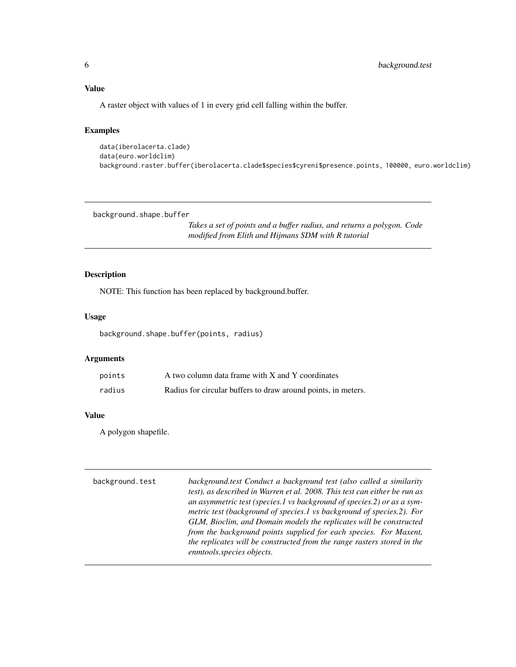<span id="page-5-0"></span>A raster object with values of 1 in every grid cell falling within the buffer.

#### Examples

```
data(iberolacerta.clade)
data(euro.worldclim)
background.raster.buffer(iberolacerta.clade$species$cyreni$presence.points, 100000, euro.worldclim)
```
background.shape.buffer

*Takes a set of points and a buffer radius, and returns a polygon. Code modified from Elith and Hijmans SDM with R tutorial*

#### Description

NOTE: This function has been replaced by background.buffer.

#### Usage

background.shape.buffer(points, radius)

#### Arguments

| points | A two column data frame with X and Y coordinates              |
|--------|---------------------------------------------------------------|
| radius | Radius for circular buffers to draw around points, in meters. |

#### Value

A polygon shapefile.

| background.test | background.test Conduct a background test (also called a similarity       |
|-----------------|---------------------------------------------------------------------------|
|                 | test), as described in Warren et al. 2008. This test can either be run as |
|                 | an asymmetric test (species.1 vs background of species.2) or as a sym-    |
|                 | metric test (background of species.1 vs background of species.2). For     |
|                 | GLM, Bioclim, and Domain models the replicates will be constructed        |
|                 | from the background points supplied for each species. For Maxent,         |
|                 | the replicates will be constructed from the range rasters stored in the   |
|                 | enmtools.species objects.                                                 |
|                 |                                                                           |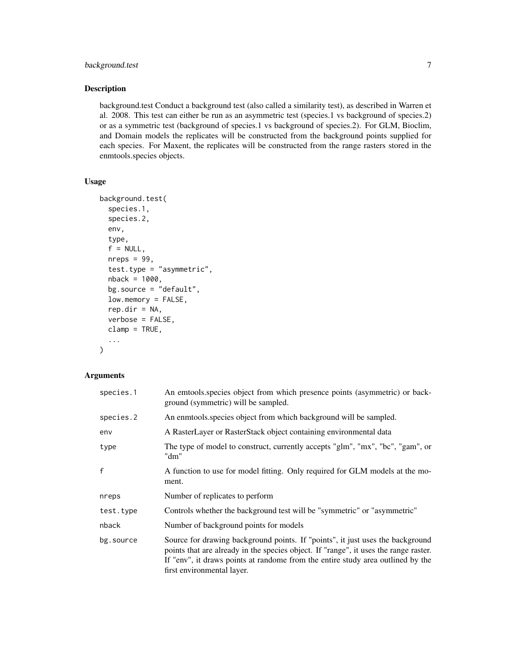#### background.test 7

#### Description

background.test Conduct a background test (also called a similarity test), as described in Warren et al. 2008. This test can either be run as an asymmetric test (species.1 vs background of species.2) or as a symmetric test (background of species.1 vs background of species.2). For GLM, Bioclim, and Domain models the replicates will be constructed from the background points supplied for each species. For Maxent, the replicates will be constructed from the range rasters stored in the enmtools.species objects.

#### Usage

```
background.test(
  species.1,
  species.2,
  env,
  type,
  f = NULL,nreps = 99,
  test.type = "asymmetric",
  nback = 1000,
  bg.source = "default",
  low.memory = FALSE,
  rep.dir = NA,
  verbose = FALSE,
  clamp = TRUE,
  ...
)
```

| species.1 | An emtools species object from which presence points (asymmetric) or back-<br>ground (symmetric) will be sampled.                                                                                                                                                                       |
|-----------|-----------------------------------------------------------------------------------------------------------------------------------------------------------------------------------------------------------------------------------------------------------------------------------------|
| species.2 | An enmotols species object from which background will be sampled.                                                                                                                                                                                                                       |
| env       | A RasterLayer or RasterStack object containing environmental data                                                                                                                                                                                                                       |
| type      | The type of model to construct, currently accepts "glm", "mx", "bc", "gam", or<br>"dm"                                                                                                                                                                                                  |
| f         | A function to use for model fitting. Only required for GLM models at the mo-<br>ment.                                                                                                                                                                                                   |
| nreps     | Number of replicates to perform                                                                                                                                                                                                                                                         |
| test.type | Controls whether the background test will be "symmetric" or "asymmetric"                                                                                                                                                                                                                |
| nback     | Number of background points for models                                                                                                                                                                                                                                                  |
| bg.source | Source for drawing background points. If "points", it just uses the background<br>points that are already in the species object. If "range", it uses the range raster.<br>If "env", it draws points at randome from the entire study area outlined by the<br>first environmental layer. |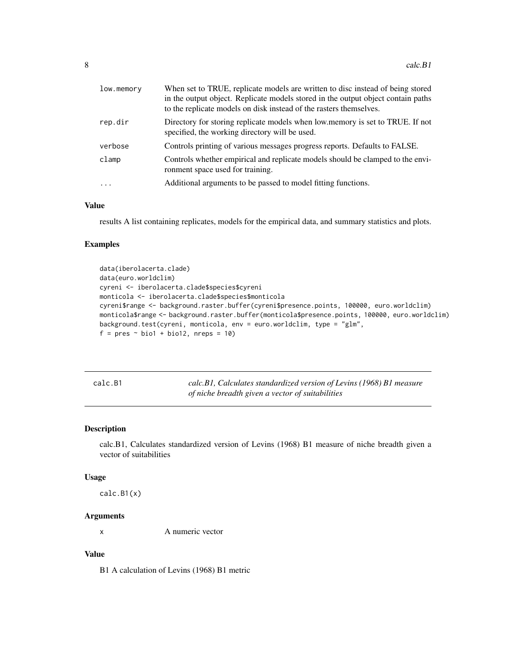<span id="page-7-0"></span>

| low.memory | When set to TRUE, replicate models are written to disc instead of being stored<br>in the output object. Replicate models stored in the output object contain paths<br>to the replicate models on disk instead of the rasters themselves. |
|------------|------------------------------------------------------------------------------------------------------------------------------------------------------------------------------------------------------------------------------------------|
| rep.dir    | Directory for storing replicate models when low memory is set to TRUE. If not<br>specified, the working directory will be used.                                                                                                          |
| verbose    | Controls printing of various messages progress reports. Defaults to FALSE.                                                                                                                                                               |
| clamp      | Controls whether empirical and replicate models should be clamped to the envi-<br>ronment space used for training.                                                                                                                       |
| $\cdot$    | Additional arguments to be passed to model fitting functions.                                                                                                                                                                            |

#### Value

results A list containing replicates, models for the empirical data, and summary statistics and plots.

#### Examples

```
data(iberolacerta.clade)
data(euro.worldclim)
cyreni <- iberolacerta.clade$species$cyreni
monticola <- iberolacerta.clade$species$monticola
cyreni$range <- background.raster.buffer(cyreni$presence.points, 100000, euro.worldclim)
monticola$range <- background.raster.buffer(monticola$presence.points, 100000, euro.worldclim)
background.test(cyreni, monticola, env = euro.worldclim, type = "glm",
f = pres ~ ~ ~ bio1 + bio12, nreps = 10)
```
calc.B1 *calc.B1, Calculates standardized version of Levins (1968) B1 measure of niche breadth given a vector of suitabilities*

#### Description

calc.B1, Calculates standardized version of Levins (1968) B1 measure of niche breadth given a vector of suitabilities

#### Usage

calc.B1(x)

#### Arguments

x A numeric vector

#### Value

B1 A calculation of Levins (1968) B1 metric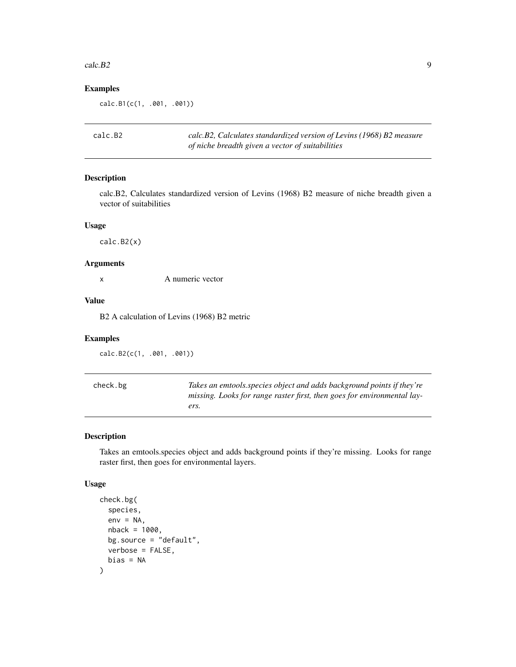#### <span id="page-8-0"></span> $\text{calc.B2}$  9

#### Examples

calc.B1(c(1, .001, .001))

| calc.B2 | calc.B2, Calculates standardized version of Levins (1968) B2 measure |
|---------|----------------------------------------------------------------------|
|         | of niche breadth given a vector of suitabilities                     |

#### Description

calc.B2, Calculates standardized version of Levins (1968) B2 measure of niche breadth given a vector of suitabilities

#### Usage

calc.B2(x)

#### Arguments

x A numeric vector

#### Value

B2 A calculation of Levins (1968) B2 metric

#### Examples

calc.B2(c(1, .001, .001))

| check.bg | Takes an emtools, species object and adds background points if they're  |
|----------|-------------------------------------------------------------------------|
|          | missing. Looks for range raster first, then goes for environmental lay- |
|          | ers.                                                                    |

#### Description

Takes an emtools.species object and adds background points if they're missing. Looks for range raster first, then goes for environmental layers.

#### Usage

```
check.bg(
  species,
  env = NA,
 nback = 1000,
 bg.source = "default",
  verbose = FALSE,
  bias = NA
)
```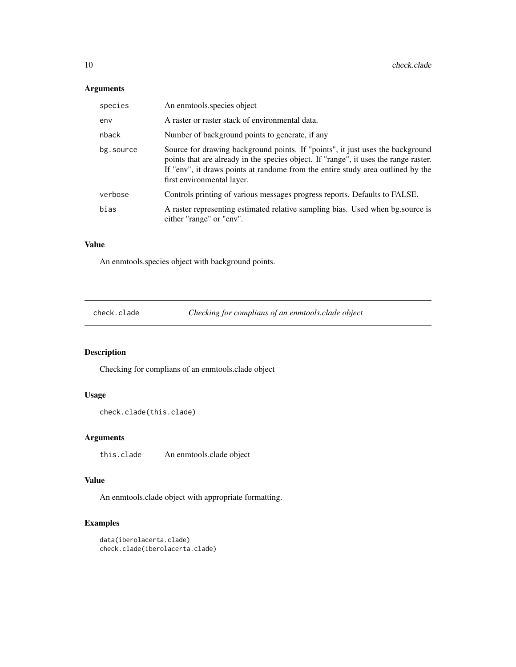#### <span id="page-9-0"></span>Arguments

| species   | An enmotols species object                                                                                                                                                                                                                                                              |
|-----------|-----------------------------------------------------------------------------------------------------------------------------------------------------------------------------------------------------------------------------------------------------------------------------------------|
| env       | A raster or raster stack of environmental data.                                                                                                                                                                                                                                         |
| nback     | Number of background points to generate, if any                                                                                                                                                                                                                                         |
| bg.source | Source for drawing background points. If "points", it just uses the background<br>points that are already in the species object. If "range", it uses the range raster.<br>If "env", it draws points at randome from the entire study area outlined by the<br>first environmental layer. |
| verbose   | Controls printing of various messages progress reports. Defaults to FALSE.                                                                                                                                                                                                              |
| bias      | A raster representing estimated relative sampling bias. Used when bg.source is<br>either "range" or "env".                                                                                                                                                                              |

#### Value

An enmtools.species object with background points.

check.clade *Checking for complians of an enmtools.clade object*

#### Description

Checking for complians of an enmtools.clade object

#### Usage

```
check.clade(this.clade)
```
#### Arguments

this.clade An enmtools.clade object

#### Value

An enmtools.clade object with appropriate formatting.

```
data(iberolacerta.clade)
check.clade(iberolacerta.clade)
```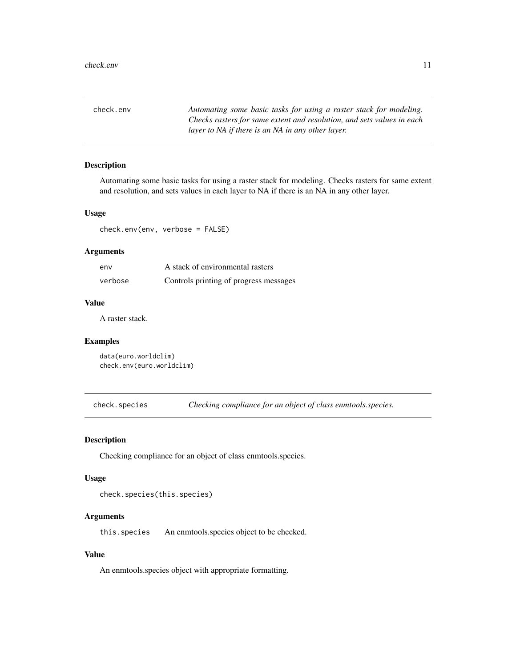<span id="page-10-0"></span>check.env *Automating some basic tasks for using a raster stack for modeling. Checks rasters for same extent and resolution, and sets values in each layer to NA if there is an NA in any other layer.*

#### Description

Automating some basic tasks for using a raster stack for modeling. Checks rasters for same extent and resolution, and sets values in each layer to NA if there is an NA in any other layer.

#### Usage

check.env(env, verbose = FALSE)

#### Arguments

| env     | A stack of environmental rasters       |
|---------|----------------------------------------|
| verbose | Controls printing of progress messages |

#### Value

A raster stack.

#### Examples

```
data(euro.worldclim)
check.env(euro.worldclim)
```
check.species *Checking compliance for an object of class enmtools.species.*

#### Description

Checking compliance for an object of class enmtools.species.

#### Usage

```
check.species(this.species)
```
#### Arguments

this.species An enmtools.species object to be checked.

#### Value

An enmtools.species object with appropriate formatting.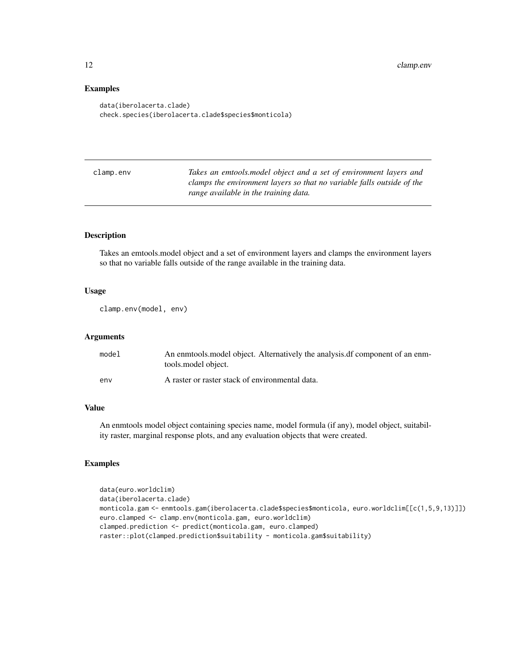#### Examples

```
data(iberolacerta.clade)
check.species(iberolacerta.clade$species$monticola)
```

| clamp.env | Takes an emtools, model object and a set of environment layers and     |
|-----------|------------------------------------------------------------------------|
|           | clamps the environment layers so that no variable falls outside of the |
|           | range available in the training data.                                  |
|           |                                                                        |

#### Description

Takes an emtools.model object and a set of environment layers and clamps the environment layers so that no variable falls outside of the range available in the training data.

#### Usage

```
clamp.env(model, env)
```
#### Arguments

| model | An enmodely object. Alternatively the analysis of component of an enm-<br>tools model object. |
|-------|-----------------------------------------------------------------------------------------------|
| env   | A raster or raster stack of environmental data.                                               |

#### Value

An enmtools model object containing species name, model formula (if any), model object, suitability raster, marginal response plots, and any evaluation objects that were created.

```
data(euro.worldclim)
data(iberolacerta.clade)
monticola.gam <- enmtools.gam(iberolacerta.clade$species$monticola, euro.worldclim[[c(1,5,9,13)]])
euro.clamped <- clamp.env(monticola.gam, euro.worldclim)
clamped.prediction <- predict(monticola.gam, euro.clamped)
raster::plot(clamped.prediction$suitability - monticola.gam$suitability)
```
<span id="page-11-0"></span>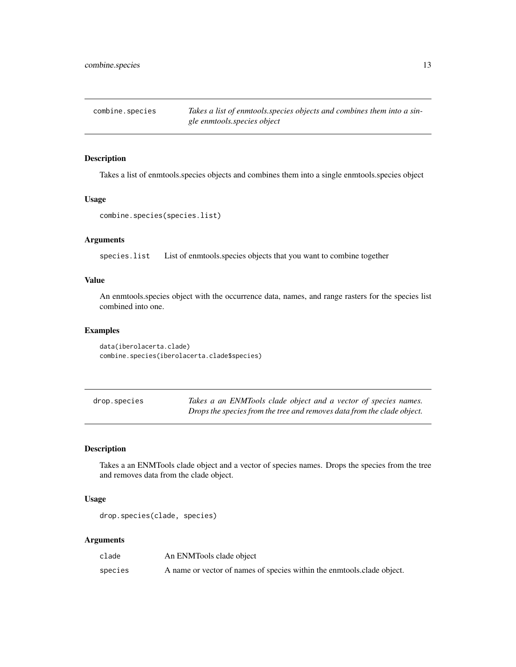<span id="page-12-0"></span>combine.species *Takes a list of enmtools.species objects and combines them into a single enmtools.species object*

#### Description

Takes a list of enmtools.species objects and combines them into a single enmtools.species object

#### Usage

```
combine.species(species.list)
```
#### Arguments

species.list List of enmtools.species objects that you want to combine together

#### Value

An enmtools.species object with the occurrence data, names, and range rasters for the species list combined into one.

#### Examples

```
data(iberolacerta.clade)
combine.species(iberolacerta.clade$species)
```
drop.species *Takes a an ENMTools clade object and a vector of species names. Drops the species from the tree and removes data from the clade object.*

#### Description

Takes a an ENMTools clade object and a vector of species names. Drops the species from the tree and removes data from the clade object.

#### Usage

```
drop.species(clade, species)
```

| clade   | An ENMTools clade object                                               |
|---------|------------------------------------------------------------------------|
| species | A name or vector of names of species within the enmotols clade object. |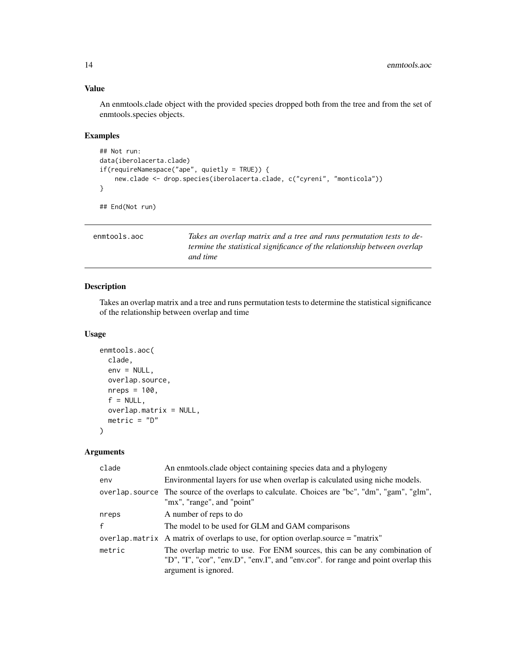#### <span id="page-13-0"></span>Value

An enmtools.clade object with the provided species dropped both from the tree and from the set of enmtools.species objects.

#### Examples

```
## Not run:
data(iberolacerta.clade)
if(requireNamespace("ape", quietly = TRUE)) {
   new.clade <- drop.species(iberolacerta.clade, c("cyreni", "monticola"))
}
## End(Not run)
```

| enmtools.aoc | Takes an overlap matrix and a tree and runs permutation tests to de-            |
|--------------|---------------------------------------------------------------------------------|
|              | <i>termine the statistical significance of the relationship between overlap</i> |
|              | and time                                                                        |

#### Description

Takes an overlap matrix and a tree and runs permutation tests to determine the statistical significance of the relationship between overlap and time

#### Usage

```
enmtools.aoc(
  clade,
  env = NULL,
  overlap.source,
  nreps = 100,
  f = NULL,overlap.matrix = NULL,
  metric = "D"
\mathcal{L}
```

| clade        | An enmtools clade object containing species data and a phylogeny                                                                                                                         |
|--------------|------------------------------------------------------------------------------------------------------------------------------------------------------------------------------------------|
| env          | Environmental layers for use when overlap is calculated using niche models.                                                                                                              |
|              | overlap source The source of the overlaps to calculate. Choices are "bc", "dm", "gam", "glm",<br>"mx", "range", and "point"                                                              |
| nreps        | A number of reps to do                                                                                                                                                                   |
| $\mathsf{f}$ | The model to be used for GLM and GAM comparisons                                                                                                                                         |
|              | overlap matrix A matrix of overlaps to use, for option overlap source $=$ "matrix"                                                                                                       |
| metric       | The overlap metric to use. For ENM sources, this can be any combination of<br>"D", "I", "cor", "env.D", "env.I", and "env.cor". for range and point overlap this<br>argument is ignored. |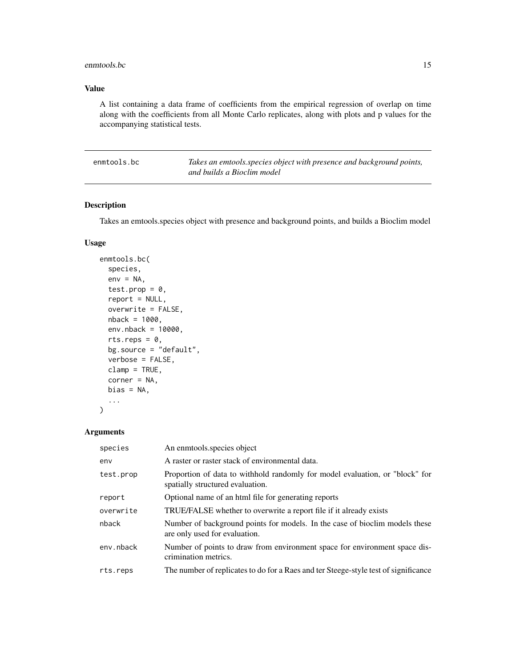#### <span id="page-14-0"></span>enmtools.bc 15

#### Value

A list containing a data frame of coefficients from the empirical regression of overlap on time along with the coefficients from all Monte Carlo replicates, along with plots and p values for the accompanying statistical tests.

| enmtools.bc | Takes an emtools.species object with presence and background points, |
|-------------|----------------------------------------------------------------------|
|             | and builds a Bioclim model                                           |

#### Description

Takes an emtools.species object with presence and background points, and builds a Bioclim model

#### Usage

```
enmtools.bc(
  species,
  env = NA,
  test.prop = 0,
  report = NULL,overwrite = FALSE,
  nback = 1000,
  env.nback = 10000,
  rts.reps = 0,
  bg.source = "default",
  verbose = FALSE,
  clamp = TRUE,
  corner = NA,
 bias = NA,
  ...
)
```

| species   | An enmtools species object                                                                                       |
|-----------|------------------------------------------------------------------------------------------------------------------|
| env       | A raster or raster stack of environmental data.                                                                  |
| test.prop | Proportion of data to withhold randomly for model evaluation, or "block" for<br>spatially structured evaluation. |
| report    | Optional name of an html file for generating reports                                                             |
| overwrite | <b>TRUE/FALSE</b> whether to overwrite a report file if it already exists                                        |
| nback     | Number of background points for models. In the case of bioclim models these<br>are only used for evaluation.     |
| env.nback | Number of points to draw from environment space for environment space dis-<br>crimination metrics.               |
| rts.reps  | The number of replicates to do for a Raes and ter Steege-style test of significance                              |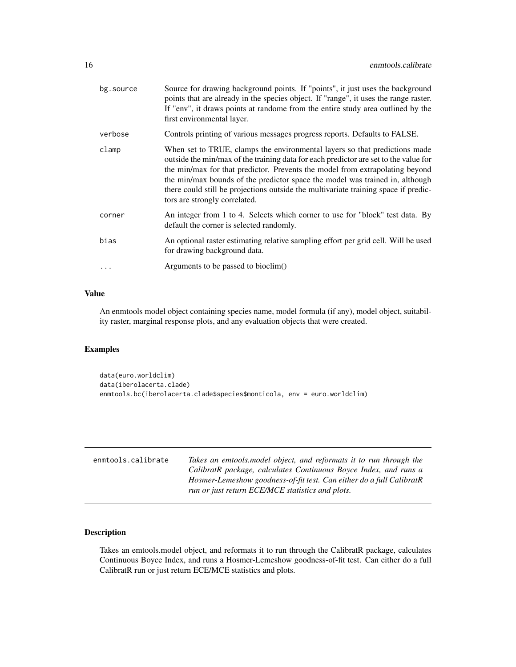<span id="page-15-0"></span>

| bg.source | Source for drawing background points. If "points", it just uses the background<br>points that are already in the species object. If "range", it uses the range raster.<br>If "env", it draws points at randome from the entire study area outlined by the<br>first environmental layer.                                                                                                                                                                    |
|-----------|------------------------------------------------------------------------------------------------------------------------------------------------------------------------------------------------------------------------------------------------------------------------------------------------------------------------------------------------------------------------------------------------------------------------------------------------------------|
| verbose   | Controls printing of various messages progress reports. Defaults to FALSE.                                                                                                                                                                                                                                                                                                                                                                                 |
| clamp     | When set to TRUE, clamps the environmental layers so that predictions made<br>outside the min/max of the training data for each predictor are set to the value for<br>the min/max for that predictor. Prevents the model from extrapolating beyond<br>the min/max bounds of the predictor space the model was trained in, although<br>there could still be projections outside the multivariate training space if predic-<br>tors are strongly correlated. |
| corner    | An integer from 1 to 4. Selects which corner to use for "block" test data. By<br>default the corner is selected randomly.                                                                                                                                                                                                                                                                                                                                  |
| bias      | An optional raster estimating relative sampling effort per grid cell. Will be used<br>for drawing background data.                                                                                                                                                                                                                                                                                                                                         |
| $\ddots$  | Arguments to be passed to bioclim()                                                                                                                                                                                                                                                                                                                                                                                                                        |

#### Value

An enmtools model object containing species name, model formula (if any), model object, suitability raster, marginal response plots, and any evaluation objects that were created.

#### Examples

```
data(euro.worldclim)
data(iberolacerta.clade)
enmtools.bc(iberolacerta.clade$species$monticola, env = euro.worldclim)
```

| enmtools.calibrate | Takes an emtools, model object, and reformats it to run through the  |
|--------------------|----------------------------------------------------------------------|
|                    | CalibratR package, calculates Continuous Boyce Index, and runs a     |
|                    | Hosmer-Lemeshow goodness-of-fit test. Can either do a full CalibratR |
|                    | run or just return ECE/MCE statistics and plots.                     |

#### Description

Takes an emtools.model object, and reformats it to run through the CalibratR package, calculates Continuous Boyce Index, and runs a Hosmer-Lemeshow goodness-of-fit test. Can either do a full CalibratR run or just return ECE/MCE statistics and plots.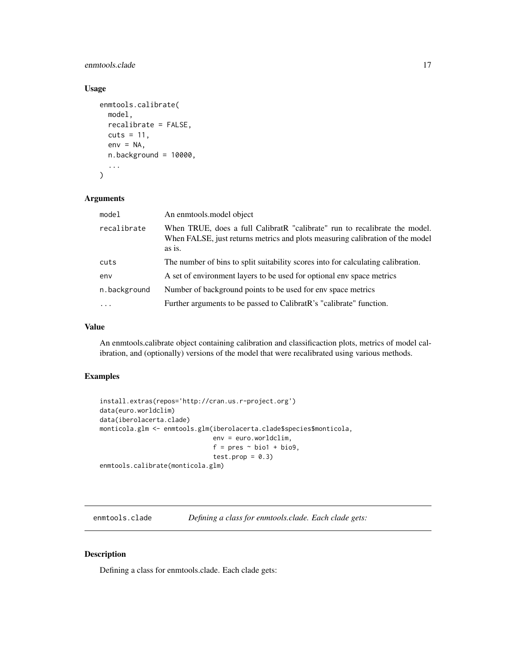#### <span id="page-16-0"></span>enmtools.clade 17

#### Usage

```
enmtools.calibrate(
  model,
  recalibrate = FALSE,
  cuts = 11,env = NA,
  n.background = 10000,...
\mathcal{L}
```
#### Arguments

| model        | An enmtools, model object                                                                                                                                             |
|--------------|-----------------------------------------------------------------------------------------------------------------------------------------------------------------------|
| recalibrate  | When TRUE, does a full CalibratR "calibrate" run to recalibrate the model.<br>When FALSE, just returns metrics and plots measuring calibration of the model<br>as is. |
| cuts         | The number of bins to split suitability scores into for calculating calibration.                                                                                      |
| env          | A set of environment layers to be used for optional env space metrics                                                                                                 |
| n.background | Number of background points to be used for env space metrics                                                                                                          |
| $\ddotsc$    | Further arguments to be passed to Calibrat R's "calibrate" function.                                                                                                  |

#### Value

An enmtools.calibrate object containing calibration and classificaction plots, metrics of model calibration, and (optionally) versions of the model that were recalibrated using various methods.

#### Examples

```
install.extras(repos='http://cran.us.r-project.org')
data(euro.worldclim)
data(iberolacerta.clade)
monticola.glm <- enmtools.glm(iberolacerta.clade$species$monticola,
                              env = euro.worldclim,
                               f = pres ~ ~ ~ bio1 ~ + ~ bio9,test.pop = 0.3)enmtools.calibrate(monticola.glm)
```
enmtools.clade *Defining a class for enmtools.clade. Each clade gets:*

#### Description

Defining a class for enmtools.clade. Each clade gets: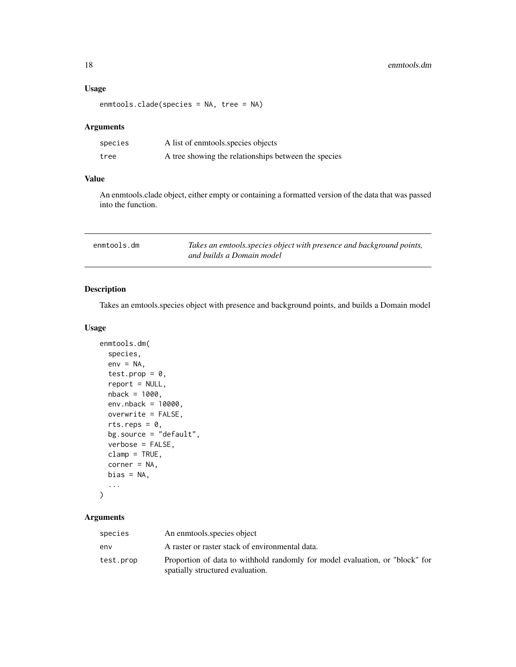#### <span id="page-17-0"></span>Usage

```
enmtools.clade(species = NA, tree = NA)
```
#### Arguments

| species | A list of enmotols species objects                   |
|---------|------------------------------------------------------|
| tree    | A tree showing the relationships between the species |

#### Value

An enmtools.clade object, either empty or containing a formatted version of the data that was passed into the function.

| enmtools.dm | Takes an emtools species object with presence and background points, |
|-------------|----------------------------------------------------------------------|
|             | and builds a Domain model                                            |

#### Description

Takes an emtools.species object with presence and background points, and builds a Domain model

#### Usage

```
enmtools.dm(
 species,
  env = NA,
  test.prop = 0,
  report = NULL,
 nback = 1000,
  env.nback = 10000,
 overwrite = FALSE,
  rts.reps = 0,
 bg.source = "default",
  verbose = FALSE,
 clamp = TRUE,corner = NA,
 bias = NA,
  ...
\mathcal{L}
```

| species   | An enmtools species object                                                                                       |
|-----------|------------------------------------------------------------------------------------------------------------------|
| env       | A raster or raster stack of environmental data.                                                                  |
| test.prop | Proportion of data to withhold randomly for model evaluation, or "block" for<br>spatially structured evaluation. |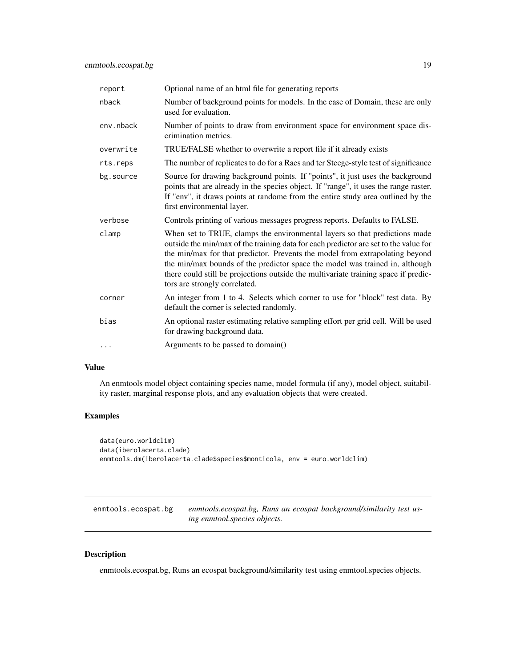<span id="page-18-0"></span>

| report    | Optional name of an html file for generating reports                                                                                                                                                                                                                                                                                                                                                                                                       |
|-----------|------------------------------------------------------------------------------------------------------------------------------------------------------------------------------------------------------------------------------------------------------------------------------------------------------------------------------------------------------------------------------------------------------------------------------------------------------------|
| nback     | Number of background points for models. In the case of Domain, these are only<br>used for evaluation.                                                                                                                                                                                                                                                                                                                                                      |
| env.nback | Number of points to draw from environment space for environment space dis-<br>crimination metrics.                                                                                                                                                                                                                                                                                                                                                         |
| overwrite | TRUE/FALSE whether to overwrite a report file if it already exists                                                                                                                                                                                                                                                                                                                                                                                         |
| rts.reps  | The number of replicates to do for a Raes and ter Steege-style test of significance                                                                                                                                                                                                                                                                                                                                                                        |
| bg.source | Source for drawing background points. If "points", it just uses the background<br>points that are already in the species object. If "range", it uses the range raster.<br>If "env", it draws points at randome from the entire study area outlined by the<br>first environmental layer.                                                                                                                                                                    |
| verbose   | Controls printing of various messages progress reports. Defaults to FALSE.                                                                                                                                                                                                                                                                                                                                                                                 |
| clamp     | When set to TRUE, clamps the environmental layers so that predictions made<br>outside the min/max of the training data for each predictor are set to the value for<br>the min/max for that predictor. Prevents the model from extrapolating beyond<br>the min/max bounds of the predictor space the model was trained in, although<br>there could still be projections outside the multivariate training space if predic-<br>tors are strongly correlated. |
| corner    | An integer from 1 to 4. Selects which corner to use for "block" test data. By<br>default the corner is selected randomly.                                                                                                                                                                                                                                                                                                                                  |
| bias      | An optional raster estimating relative sampling effort per grid cell. Will be used<br>for drawing background data.                                                                                                                                                                                                                                                                                                                                         |
| $\cdots$  | Arguments to be passed to domain()                                                                                                                                                                                                                                                                                                                                                                                                                         |

#### Value

An enmtools model object containing species name, model formula (if any), model object, suitability raster, marginal response plots, and any evaluation objects that were created.

#### Examples

```
data(euro.worldclim)
data(iberolacerta.clade)
enmtools.dm(iberolacerta.clade$species$monticola, env = euro.worldclim)
```

| enmtools.ecospat.bg | enmtools.ecospat.bg, Runs an ecospat background/similarity test us- |
|---------------------|---------------------------------------------------------------------|
|                     | ing enmtool species objects.                                        |

#### Description

enmtools.ecospat.bg, Runs an ecospat background/similarity test using enmtool.species objects.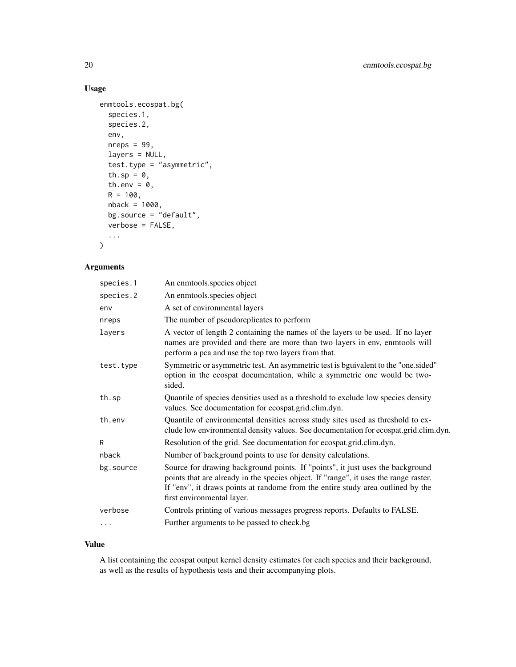#### Usage

```
enmtools.ecospat.bg(
  species.1,
  species.2,
  env,
  nreps = 99,layers = NULL,
  test.type = "asymmetric",
  th.sp = \theta,
  th.env = \theta,
  R = 100,nback = 1000,
  bg.source = "default",
  verbose = FALSE,
  ...
\mathcal{L}
```
## Arguments

| species.1 | An enmtools species object                                                                                                                                                                                                                                                              |
|-----------|-----------------------------------------------------------------------------------------------------------------------------------------------------------------------------------------------------------------------------------------------------------------------------------------|
| species.2 | An enmtools.species object                                                                                                                                                                                                                                                              |
| env       | A set of environmental layers                                                                                                                                                                                                                                                           |
| nreps     | The number of pseudoreplicates to perform                                                                                                                                                                                                                                               |
| layers    | A vector of length 2 containing the names of the layers to be used. If no layer<br>names are provided and there are more than two layers in env, enmtools will<br>perform a pca and use the top two layers from that.                                                                   |
| test.type | Symmetric or asymmetric test. An asymmetric test is bguivalent to the "one sided"<br>option in the ecospat documentation, while a symmetric one would be two-<br>sided.                                                                                                                 |
| th.sp     | Quantile of species densities used as a threshold to exclude low species density<br>values. See documentation for ecospat.grid.clim.dyn.                                                                                                                                                |
| th.env    | Quantile of environmental densities across study sites used as threshold to ex-<br>clude low environmental density values. See documentation for ecospat.grid.clim.dyn.                                                                                                                 |
| R         | Resolution of the grid. See documentation for ecospat.grid.clim.dyn.                                                                                                                                                                                                                    |
| nback     | Number of background points to use for density calculations.                                                                                                                                                                                                                            |
| bg.source | Source for drawing background points. If "points", it just uses the background<br>points that are already in the species object. If "range", it uses the range raster.<br>If "env", it draws points at randome from the entire study area outlined by the<br>first environmental layer. |
| verbose   | Controls printing of various messages progress reports. Defaults to FALSE.                                                                                                                                                                                                              |
| $\cdots$  | Further arguments to be passed to check.bg                                                                                                                                                                                                                                              |
|           |                                                                                                                                                                                                                                                                                         |

#### Value

A list containing the ecospat output kernel density estimates for each species and their background, as well as the results of hypothesis tests and their accompanying plots.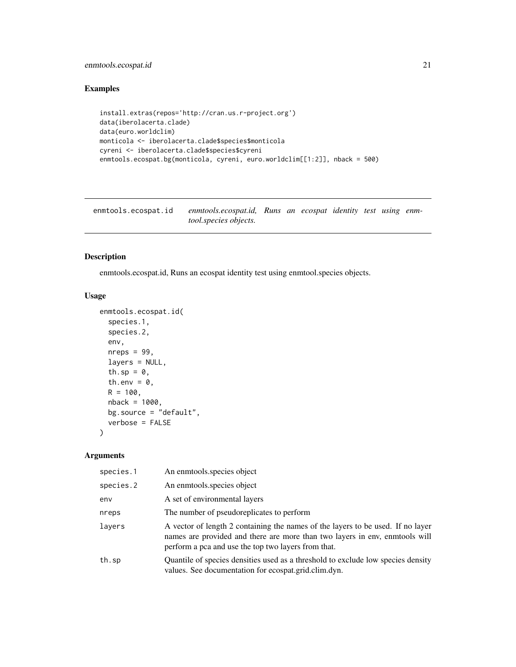#### <span id="page-20-0"></span>enmtools.ecospat.id 21

#### Examples

```
install.extras(repos='http://cran.us.r-project.org')
data(iberolacerta.clade)
data(euro.worldclim)
monticola <- iberolacerta.clade$species$monticola
cyreni <- iberolacerta.clade$species$cyreni
enmtools.ecospat.bg(monticola, cyreni, euro.worldclim[[1:2]], nback = 500)
```
enmtools.ecospat.id *enmtools.ecospat.id, Runs an ecospat identity test using enmtool.species objects.*

#### Description

enmtools.ecospat.id, Runs an ecospat identity test using enmtool.species objects.

#### Usage

```
enmtools.ecospat.id(
  species.1,
  species.2,
  env,
  nreps = 99,
  layers = NULL,
  th.sp = \theta,
  th.env = \theta,
  R = 100,
  nback = 1000,
  bg.source = "default",
  verbose = FALSE
)
```

| species.1 | An enmtools species object                                                                                                                                                                                            |
|-----------|-----------------------------------------------------------------------------------------------------------------------------------------------------------------------------------------------------------------------|
| species.2 | An enmotols species object                                                                                                                                                                                            |
| env       | A set of environmental layers                                                                                                                                                                                         |
| nreps     | The number of pseudoreplicates to perform                                                                                                                                                                             |
| layers    | A vector of length 2 containing the names of the layers to be used. If no layer<br>names are provided and there are more than two layers in env, enmtools will<br>perform a pca and use the top two layers from that. |
| th.sp     | Quantile of species densities used as a threshold to exclude low species density<br>values. See documentation for ecospat.grid.clim.dyn.                                                                              |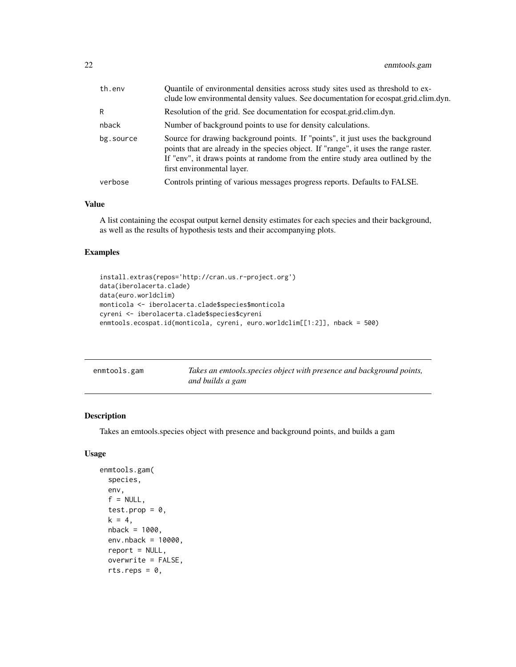<span id="page-21-0"></span>

| Quantile of environmental densities across study sites used as threshold to ex-<br>clude low environmental density values. See documentation for ecospat.grid.clim.dyn.                                                                                   |
|-----------------------------------------------------------------------------------------------------------------------------------------------------------------------------------------------------------------------------------------------------------|
|                                                                                                                                                                                                                                                           |
|                                                                                                                                                                                                                                                           |
| Source for drawing background points. If "points", it just uses the background<br>points that are already in the species object. If "range", it uses the range raster.<br>If "env", it draws points at randome from the entire study area outlined by the |
|                                                                                                                                                                                                                                                           |
|                                                                                                                                                                                                                                                           |

#### Value

A list containing the ecospat output kernel density estimates for each species and their background, as well as the results of hypothesis tests and their accompanying plots.

#### Examples

```
install.extras(repos='http://cran.us.r-project.org')
data(iberolacerta.clade)
data(euro.worldclim)
monticola <- iberolacerta.clade$species$monticola
cyreni <- iberolacerta.clade$species$cyreni
enmtools.ecospat.id(monticola, cyreni, euro.worldclim[[1:2]], nback = 500)
```

| enmtools.gam | Takes an emtools.species object with presence and background points, |
|--------------|----------------------------------------------------------------------|
|              | and builds a gam                                                     |

#### Description

Takes an emtools.species object with presence and background points, and builds a gam

#### Usage

```
enmtools.gam(
  species,
  env,
  f = NULL,test.prop = 0,
  k = 4,
 nback = 1000,
  env.nback = 10000,
  report = NULL,overwrite = FALSE,
  rts.reps = 0,
```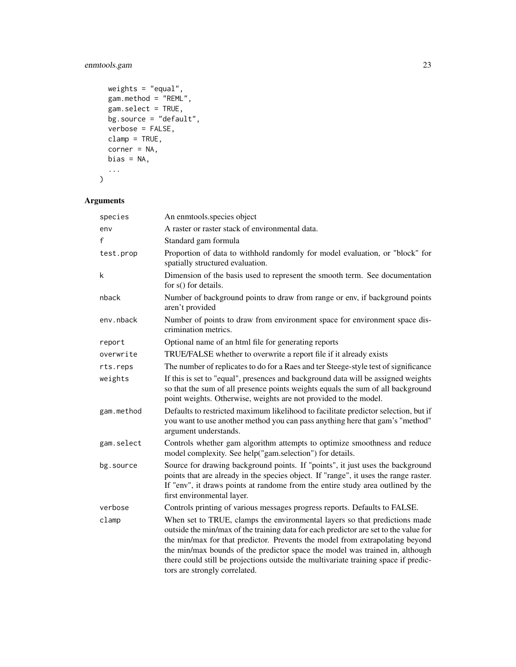#### enmtools.gam 23

```
weights = "equal",
  gam.method = "REML",
  gam.setlect = TRUE,bg.source = "default",verbose = FALSE,
  clamp = TRUE,corner = NA,
  bias = NA,
  ...
\overline{\phantom{a}}
```

| species    | An enmtools.species object                                                                                                                                                                                                                                                                                                                                                                                                                                 |
|------------|------------------------------------------------------------------------------------------------------------------------------------------------------------------------------------------------------------------------------------------------------------------------------------------------------------------------------------------------------------------------------------------------------------------------------------------------------------|
| env        | A raster or raster stack of environmental data.                                                                                                                                                                                                                                                                                                                                                                                                            |
| f          | Standard gam formula                                                                                                                                                                                                                                                                                                                                                                                                                                       |
| test.prop  | Proportion of data to withhold randomly for model evaluation, or "block" for<br>spatially structured evaluation.                                                                                                                                                                                                                                                                                                                                           |
| k          | Dimension of the basis used to represent the smooth term. See documentation<br>for s() for details.                                                                                                                                                                                                                                                                                                                                                        |
| nback      | Number of background points to draw from range or env, if background points<br>aren't provided                                                                                                                                                                                                                                                                                                                                                             |
| env.nback  | Number of points to draw from environment space for environment space dis-<br>crimination metrics.                                                                                                                                                                                                                                                                                                                                                         |
| report     | Optional name of an html file for generating reports                                                                                                                                                                                                                                                                                                                                                                                                       |
| overwrite  | TRUE/FALSE whether to overwrite a report file if it already exists                                                                                                                                                                                                                                                                                                                                                                                         |
| rts.reps   | The number of replicates to do for a Raes and ter Steege-style test of significance                                                                                                                                                                                                                                                                                                                                                                        |
| weights    | If this is set to "equal", presences and background data will be assigned weights<br>so that the sum of all presence points weights equals the sum of all background<br>point weights. Otherwise, weights are not provided to the model.                                                                                                                                                                                                                   |
| gam.method | Defaults to restricted maximum likelihood to facilitate predictor selection, but if<br>you want to use another method you can pass anything here that gam's "method"<br>argument understands.                                                                                                                                                                                                                                                              |
| gam.select | Controls whether gam algorithm attempts to optimize smoothness and reduce<br>model complexity. See help("gam.selection") for details.                                                                                                                                                                                                                                                                                                                      |
| bg.source  | Source for drawing background points. If "points", it just uses the background<br>points that are already in the species object. If "range", it uses the range raster.<br>If "env", it draws points at randome from the entire study area outlined by the<br>first environmental layer.                                                                                                                                                                    |
| verbose    | Controls printing of various messages progress reports. Defaults to FALSE.                                                                                                                                                                                                                                                                                                                                                                                 |
| clamp      | When set to TRUE, clamps the environmental layers so that predictions made<br>outside the min/max of the training data for each predictor are set to the value for<br>the min/max for that predictor. Prevents the model from extrapolating beyond<br>the min/max bounds of the predictor space the model was trained in, although<br>there could still be projections outside the multivariate training space if predic-<br>tors are strongly correlated. |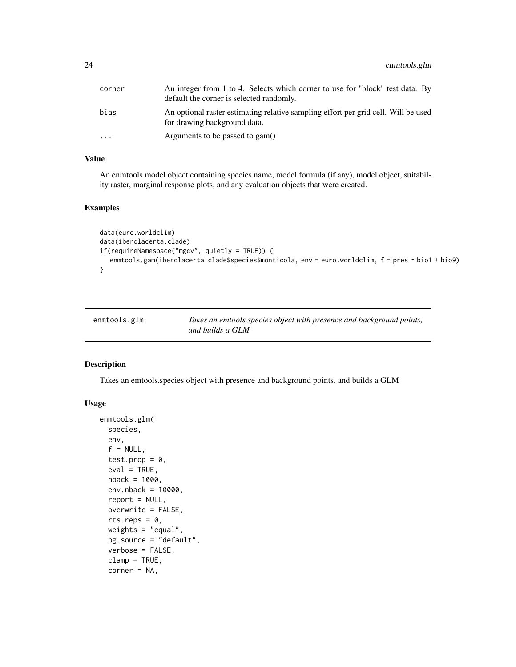<span id="page-23-0"></span>

| corner | An integer from 1 to 4. Selects which corner to use for "block" test data. By<br>default the corner is selected randomly. |
|--------|---------------------------------------------------------------------------------------------------------------------------|
| bias   | An optional raster estimating relative sampling effort per grid cell. Will be used<br>for drawing background data.        |
| .      | Arguments to be passed to gam()                                                                                           |

#### Value

An enmtools model object containing species name, model formula (if any), model object, suitability raster, marginal response plots, and any evaluation objects that were created.

#### Examples

```
data(euro.worldclim)
data(iberolacerta.clade)
if(requireNamespace("mgcv", quietly = TRUE)) {
  enmtools.gam(iberolacerta.clade$species$monticola, env = euro.worldclim, f = pres ~ bio1 + bio9)
}
```

| enmtools.glm | Takes an emtools.species object with presence and background points, |
|--------------|----------------------------------------------------------------------|
|              | and builds a GLM                                                     |

#### Description

Takes an emtools.species object with presence and background points, and builds a GLM

#### Usage

```
enmtools.glm(
  species,
  env,
  f = NULL,test.prop = \theta,
  eval = TRUE,nback = 1000,
  env.nback = 10000,
  report = NULL,overwrite = FALSE,
  rts.reps = 0.
  weights = "equal",bg.source = "default",
  verbose = FALSE,
  clamp = TRUE,
  corner = NA,
```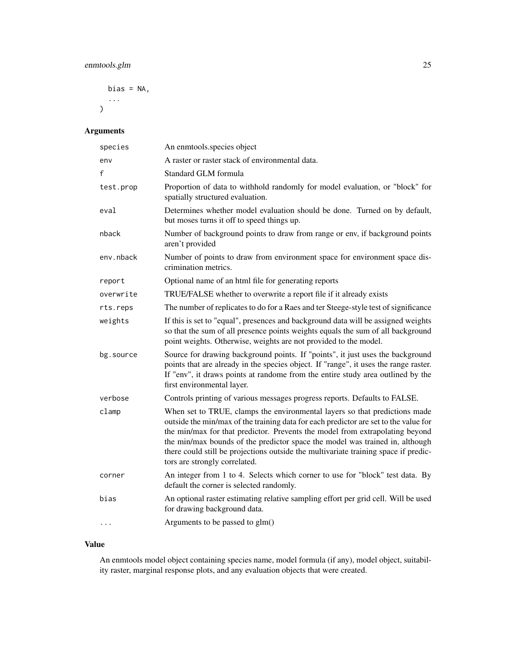#### enmtools.glm 25

```
bias = NA,
...
```
### Arguments

 $\mathcal{L}$ 

| species   | An enmtools.species object                                                                                                                                                                                                                                                                                                                                                                                                                                 |
|-----------|------------------------------------------------------------------------------------------------------------------------------------------------------------------------------------------------------------------------------------------------------------------------------------------------------------------------------------------------------------------------------------------------------------------------------------------------------------|
| env       | A raster or raster stack of environmental data.                                                                                                                                                                                                                                                                                                                                                                                                            |
| f         | Standard GLM formula                                                                                                                                                                                                                                                                                                                                                                                                                                       |
| test.prop | Proportion of data to withhold randomly for model evaluation, or "block" for<br>spatially structured evaluation.                                                                                                                                                                                                                                                                                                                                           |
| eval      | Determines whether model evaluation should be done. Turned on by default,<br>but moses turns it off to speed things up.                                                                                                                                                                                                                                                                                                                                    |
| nback     | Number of background points to draw from range or env, if background points<br>aren't provided                                                                                                                                                                                                                                                                                                                                                             |
| env.nback | Number of points to draw from environment space for environment space dis-<br>crimination metrics.                                                                                                                                                                                                                                                                                                                                                         |
| report    | Optional name of an html file for generating reports                                                                                                                                                                                                                                                                                                                                                                                                       |
| overwrite | TRUE/FALSE whether to overwrite a report file if it already exists                                                                                                                                                                                                                                                                                                                                                                                         |
| rts.reps  | The number of replicates to do for a Raes and ter Steege-style test of significance                                                                                                                                                                                                                                                                                                                                                                        |
| weights   | If this is set to "equal", presences and background data will be assigned weights<br>so that the sum of all presence points weights equals the sum of all background<br>point weights. Otherwise, weights are not provided to the model.                                                                                                                                                                                                                   |
| bg.source | Source for drawing background points. If "points", it just uses the background<br>points that are already in the species object. If "range", it uses the range raster.<br>If "env", it draws points at randome from the entire study area outlined by the<br>first environmental layer.                                                                                                                                                                    |
| verbose   | Controls printing of various messages progress reports. Defaults to FALSE.                                                                                                                                                                                                                                                                                                                                                                                 |
| clamp     | When set to TRUE, clamps the environmental layers so that predictions made<br>outside the min/max of the training data for each predictor are set to the value for<br>the min/max for that predictor. Prevents the model from extrapolating beyond<br>the min/max bounds of the predictor space the model was trained in, although<br>there could still be projections outside the multivariate training space if predic-<br>tors are strongly correlated. |
| corner    | An integer from 1 to 4. Selects which corner to use for "block" test data. By<br>default the corner is selected randomly.                                                                                                                                                                                                                                                                                                                                  |
| bias      | An optional raster estimating relative sampling effort per grid cell. Will be used<br>for drawing background data.                                                                                                                                                                                                                                                                                                                                         |
| $\cdots$  | Arguments to be passed to glm()                                                                                                                                                                                                                                                                                                                                                                                                                            |

#### Value

An enmtools model object containing species name, model formula (if any), model object, suitability raster, marginal response plots, and any evaluation objects that were created.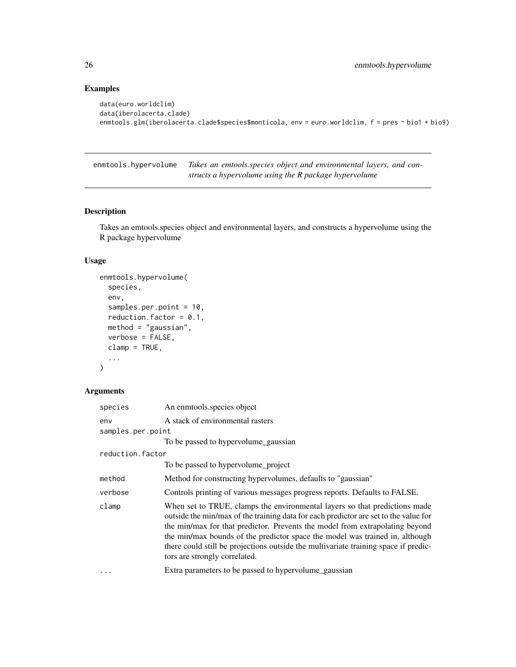#### Examples

```
data(euro.worldclim)
data(iberolacerta.clade)
enmtools.glm(iberolacerta.clade$species$monticola, env = euro.worldclim, f = pres ~ bio1 + bio9)
```
enmtools.hypervolume *Takes an emtools.species object and environmental layers, and constructs a hypervolume using the R package hypervolume*

#### Description

Takes an emtools.species object and environmental layers, and constructs a hypervolume using the R package hypervolume

#### Usage

```
enmtools.hypervolume(
  species,
  env,
  samples.per.point = 10,
  reduction.factor = 0.1,
 method = "gaussian",
 verbose = FALSE,
  clamp = TRUE,
  ...
\mathcal{L}
```

| species           | An enmtools.species object                                                                                                                                                                                                                                                                                                                                                                                                                                 |
|-------------------|------------------------------------------------------------------------------------------------------------------------------------------------------------------------------------------------------------------------------------------------------------------------------------------------------------------------------------------------------------------------------------------------------------------------------------------------------------|
| env               | A stack of environmental rasters                                                                                                                                                                                                                                                                                                                                                                                                                           |
| samples.per.point |                                                                                                                                                                                                                                                                                                                                                                                                                                                            |
|                   | To be passed to hypervolume_gaussian                                                                                                                                                                                                                                                                                                                                                                                                                       |
| reduction.factor  |                                                                                                                                                                                                                                                                                                                                                                                                                                                            |
|                   | To be passed to hypervolume_project                                                                                                                                                                                                                                                                                                                                                                                                                        |
| method            | Method for constructing hypervolumes, defaults to "gaussian"                                                                                                                                                                                                                                                                                                                                                                                               |
| verbose           | Controls printing of various messages progress reports. Defaults to FALSE.                                                                                                                                                                                                                                                                                                                                                                                 |
| clamp             | When set to TRUE, clamps the environmental layers so that predictions made<br>outside the min/max of the training data for each predictor are set to the value for<br>the min/max for that predictor. Prevents the model from extrapolating beyond<br>the min/max bounds of the predictor space the model was trained in, although<br>there could still be projections outside the multivariate training space if predic-<br>tors are strongly correlated. |
| $\cdots$          | Extra parameters to be passed to hypervolume_gaussian                                                                                                                                                                                                                                                                                                                                                                                                      |

<span id="page-25-0"></span>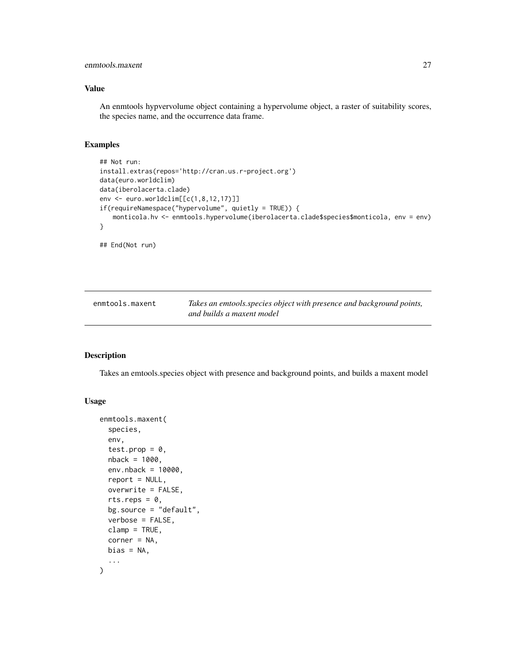#### <span id="page-26-0"></span>enmtools.maxent 27

#### Value

An enmtools hypvervolume object containing a hypervolume object, a raster of suitability scores, the species name, and the occurrence data frame.

#### Examples

```
## Not run:
install.extras(repos='http://cran.us.r-project.org')
data(euro.worldclim)
data(iberolacerta.clade)
env <- euro.worldclim[[c(1,8,12,17)]]
if(requireNamespace("hypervolume", quietly = TRUE)) {
   monticola.hv <- enmtools.hypervolume(iberolacerta.clade$species$monticola, env = env)
}
```
## End(Not run)

enmtools.maxent *Takes an emtools.species object with presence and background points, and builds a maxent model*

#### Description

Takes an emtools.species object with presence and background points, and builds a maxent model

#### Usage

```
enmtools.maxent(
  species,
  env,
  test.prop = 0,
 nback = 1000,
  env.nback = 10000,
  report = NULL,overwrite = FALSE,
  rts.reps = 0,
 bg.source = "default",
  verbose = FALSE,
  clamp = TRUE,
  corner = NA,
 bias = NA,
  ...
)
```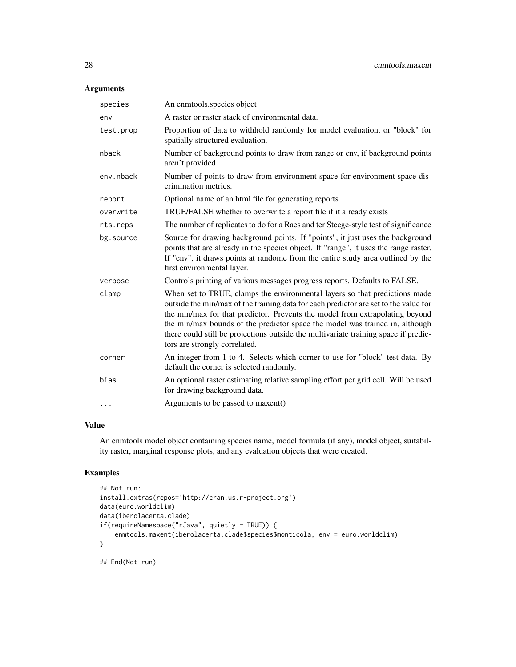#### Arguments

| species   | An enmtools.species object                                                                                                                                                                                                                                                                                                                                                                                                                                 |
|-----------|------------------------------------------------------------------------------------------------------------------------------------------------------------------------------------------------------------------------------------------------------------------------------------------------------------------------------------------------------------------------------------------------------------------------------------------------------------|
| env       | A raster or raster stack of environmental data.                                                                                                                                                                                                                                                                                                                                                                                                            |
| test.prop | Proportion of data to withhold randomly for model evaluation, or "block" for<br>spatially structured evaluation.                                                                                                                                                                                                                                                                                                                                           |
| nback     | Number of background points to draw from range or env, if background points<br>aren't provided                                                                                                                                                                                                                                                                                                                                                             |
| env.nback | Number of points to draw from environment space for environment space dis-<br>crimination metrics.                                                                                                                                                                                                                                                                                                                                                         |
| report    | Optional name of an html file for generating reports                                                                                                                                                                                                                                                                                                                                                                                                       |
| overwrite | TRUE/FALSE whether to overwrite a report file if it already exists                                                                                                                                                                                                                                                                                                                                                                                         |
| rts.reps  | The number of replicates to do for a Raes and ter Steege-style test of significance                                                                                                                                                                                                                                                                                                                                                                        |
| bg.source | Source for drawing background points. If "points", it just uses the background<br>points that are already in the species object. If "range", it uses the range raster.<br>If "env", it draws points at randome from the entire study area outlined by the<br>first environmental layer.                                                                                                                                                                    |
| verbose   | Controls printing of various messages progress reports. Defaults to FALSE.                                                                                                                                                                                                                                                                                                                                                                                 |
| clamp     | When set to TRUE, clamps the environmental layers so that predictions made<br>outside the min/max of the training data for each predictor are set to the value for<br>the min/max for that predictor. Prevents the model from extrapolating beyond<br>the min/max bounds of the predictor space the model was trained in, although<br>there could still be projections outside the multivariate training space if predic-<br>tors are strongly correlated. |
| corner    | An integer from 1 to 4. Selects which corner to use for "block" test data. By<br>default the corner is selected randomly.                                                                                                                                                                                                                                                                                                                                  |
| bias      | An optional raster estimating relative sampling effort per grid cell. Will be used<br>for drawing background data.                                                                                                                                                                                                                                                                                                                                         |
| $\cdots$  | Arguments to be passed to maxent()                                                                                                                                                                                                                                                                                                                                                                                                                         |

#### Value

An enmtools model object containing species name, model formula (if any), model object, suitability raster, marginal response plots, and any evaluation objects that were created.

#### Examples

```
## Not run:
install.extras(repos='http://cran.us.r-project.org')
data(euro.worldclim)
data(iberolacerta.clade)
if(requireNamespace("rJava", quietly = TRUE)) {
    enmtools.maxent(iberolacerta.clade$species$monticola, env = euro.worldclim)
}
```
## End(Not run)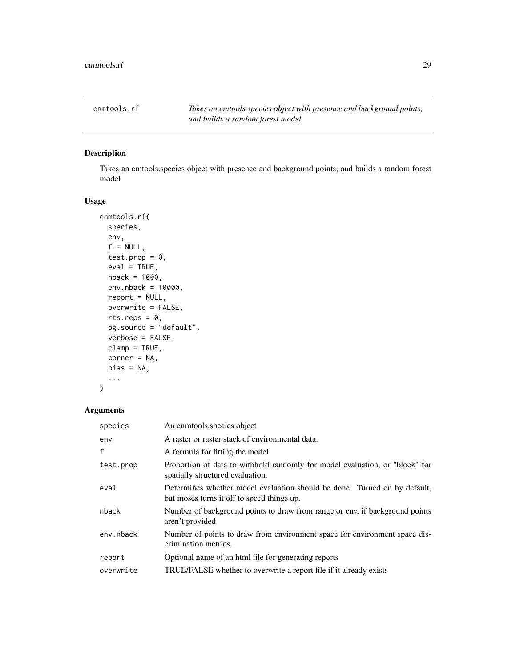<span id="page-28-0"></span>enmtools.rf *Takes an emtools.species object with presence and background points, and builds a random forest model*

#### Description

Takes an emtools.species object with presence and background points, and builds a random forest model

#### Usage

```
enmtools.rf(
  species,
 env,
  f = NULL,
  test.prop = 0,
 eval = TRUE,nback = 1000,
 env.nback = 10000,
  report = NULL,
 overwrite = FALSE,
  rts.reps = 0,
 bg.source = "default",
  verbose = FALSE,
 clamp = TRUE,
 corner = NA,
 bias = NA,
  ...
)
```

| species   | An enmtools species object                                                                                              |
|-----------|-------------------------------------------------------------------------------------------------------------------------|
| env       | A raster or raster stack of environmental data.                                                                         |
| f         | A formula for fitting the model                                                                                         |
| test.prop | Proportion of data to withhold randomly for model evaluation, or "block" for<br>spatially structured evaluation.        |
| eval      | Determines whether model evaluation should be done. Turned on by default,<br>but moses turns it off to speed things up. |
| nback     | Number of background points to draw from range or env, if background points<br>aren't provided                          |
| env.nback | Number of points to draw from environment space for environment space dis-<br>crimination metrics.                      |
| report    | Optional name of an html file for generating reports                                                                    |
| overwrite | TRUE/FALSE whether to overwrite a report file if it already exists                                                      |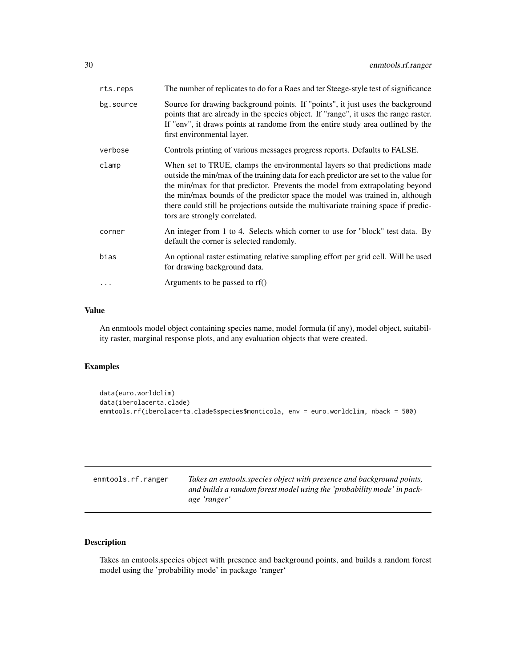<span id="page-29-0"></span>

| rts.reps  | The number of replicates to do for a Raes and ter Steege-style test of significance                                                                                                                                                                                                                                                                                                                                                                        |
|-----------|------------------------------------------------------------------------------------------------------------------------------------------------------------------------------------------------------------------------------------------------------------------------------------------------------------------------------------------------------------------------------------------------------------------------------------------------------------|
| bg.source | Source for drawing background points. If "points", it just uses the background<br>points that are already in the species object. If "range", it uses the range raster.<br>If "env", it draws points at randome from the entire study area outlined by the<br>first environmental layer.                                                                                                                                                                    |
| verbose   | Controls printing of various messages progress reports. Defaults to FALSE.                                                                                                                                                                                                                                                                                                                                                                                 |
| clamp     | When set to TRUE, clamps the environmental layers so that predictions made<br>outside the min/max of the training data for each predictor are set to the value for<br>the min/max for that predictor. Prevents the model from extrapolating beyond<br>the min/max bounds of the predictor space the model was trained in, although<br>there could still be projections outside the multivariate training space if predic-<br>tors are strongly correlated. |
| corner    | An integer from 1 to 4. Selects which corner to use for "block" test data. By<br>default the corner is selected randomly.                                                                                                                                                                                                                                                                                                                                  |
| bias      | An optional raster estimating relative sampling effort per grid cell. Will be used<br>for drawing background data.                                                                                                                                                                                                                                                                                                                                         |
| $\ddots$  | Arguments to be passed to rf()                                                                                                                                                                                                                                                                                                                                                                                                                             |

#### Value

An enmtools model object containing species name, model formula (if any), model object, suitability raster, marginal response plots, and any evaluation objects that were created.

#### Examples

```
data(euro.worldclim)
data(iberolacerta.clade)
enmtools.rf(iberolacerta.clade$species$monticola, env = euro.worldclim, nback = 500)
```

| enmtools.rf.ranger | Takes an emtools species object with presence and background points,<br>and builds a random forest model using the 'probability mode' in pack-<br>age 'ranger' |
|--------------------|----------------------------------------------------------------------------------------------------------------------------------------------------------------|
|                    |                                                                                                                                                                |

#### Description

Takes an emtools.species object with presence and background points, and builds a random forest model using the 'probability mode' in package 'ranger'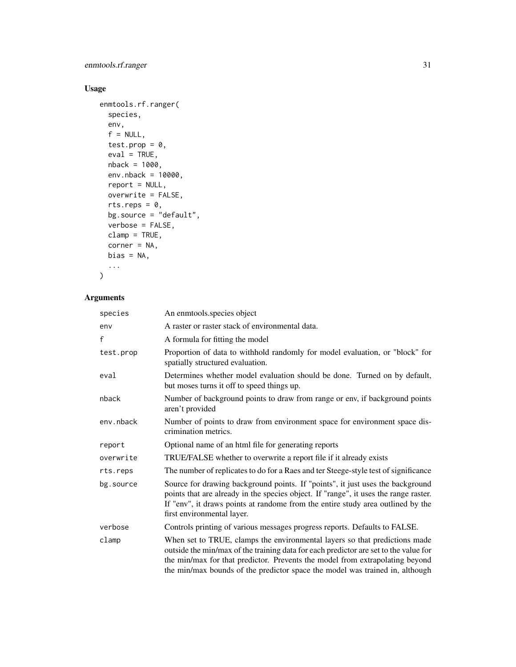enmtools.rf.ranger 31

#### Usage

```
enmtools.rf.ranger(
 species,
  env,
  f = NULL,test.prop = 0,
 eval = TRUE,nback = 1000,
 env.nback = 10000,
 report = NULL,
 overwrite = FALSE,
 rts.reps = 0,
 bg.source = "default",
 verbose = FALSE,
 clamp = TRUE,
 corner = NA,
 bias = NA,
  ...
```
## $\mathcal{L}$

| species   | An enmtools.species object                                                                                                                                                                                                                                                                                                         |
|-----------|------------------------------------------------------------------------------------------------------------------------------------------------------------------------------------------------------------------------------------------------------------------------------------------------------------------------------------|
| env       | A raster or raster stack of environmental data.                                                                                                                                                                                                                                                                                    |
| f         | A formula for fitting the model                                                                                                                                                                                                                                                                                                    |
| test.prop | Proportion of data to withhold randomly for model evaluation, or "block" for<br>spatially structured evaluation.                                                                                                                                                                                                                   |
| eval      | Determines whether model evaluation should be done. Turned on by default,<br>but moses turns it off to speed things up.                                                                                                                                                                                                            |
| nback     | Number of background points to draw from range or env, if background points<br>aren't provided                                                                                                                                                                                                                                     |
| env.nback | Number of points to draw from environment space for environment space dis-<br>crimination metrics.                                                                                                                                                                                                                                 |
| report    | Optional name of an html file for generating reports                                                                                                                                                                                                                                                                               |
| overwrite | TRUE/FALSE whether to overwrite a report file if it already exists                                                                                                                                                                                                                                                                 |
| rts.reps  | The number of replicates to do for a Raes and ter Steege-style test of significance                                                                                                                                                                                                                                                |
| bg.source | Source for drawing background points. If "points", it just uses the background<br>points that are already in the species object. If "range", it uses the range raster.<br>If "env", it draws points at randome from the entire study area outlined by the<br>first environmental layer.                                            |
| verbose   | Controls printing of various messages progress reports. Defaults to FALSE.                                                                                                                                                                                                                                                         |
| clamp     | When set to TRUE, clamps the environmental layers so that predictions made<br>outside the min/max of the training data for each predictor are set to the value for<br>the min/max for that predictor. Prevents the model from extrapolating beyond<br>the min/max bounds of the predictor space the model was trained in, although |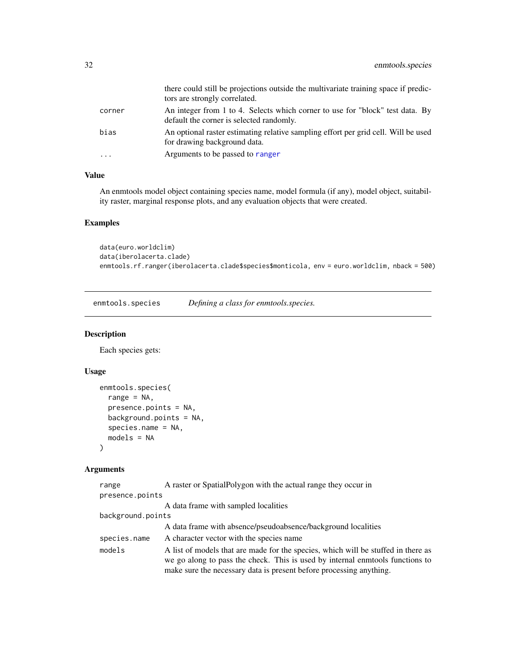<span id="page-31-0"></span>

|          | there could still be projections outside the multivariate training space if predic-<br>tors are strongly correlated.      |
|----------|---------------------------------------------------------------------------------------------------------------------------|
| corner   | An integer from 1 to 4. Selects which corner to use for "block" test data. By<br>default the corner is selected randomly. |
| bias     | An optional raster estimating relative sampling effort per grid cell. Will be used<br>for drawing background data.        |
| $\cdots$ | Arguments to be passed to ranger                                                                                          |

#### Value

An enmtools model object containing species name, model formula (if any), model object, suitability raster, marginal response plots, and any evaluation objects that were created.

#### Examples

```
data(euro.worldclim)
data(iberolacerta.clade)
enmtools.rf.ranger(iberolacerta.clade$species$monticola, env = euro.worldclim, nback = 500)
```
<span id="page-31-1"></span>enmtools.species *Defining a class for enmtools.species.*

#### Description

Each species gets:

#### Usage

```
enmtools.species(
  range = NA,
  presence.points = NA,
  background.points = NA,
  species.name = NA,
  models = NA
\mathcal{L}
```

| range             | A raster or SpatialPolygon with the actual range they occur in                                                                                                                                                                            |
|-------------------|-------------------------------------------------------------------------------------------------------------------------------------------------------------------------------------------------------------------------------------------|
| presence.points   |                                                                                                                                                                                                                                           |
|                   | A data frame with sampled localities                                                                                                                                                                                                      |
| background.points |                                                                                                                                                                                                                                           |
|                   | A data frame with absence/pseudoabsence/background localities                                                                                                                                                                             |
| species.name      | A character vector with the species name                                                                                                                                                                                                  |
| models            | A list of models that are made for the species, which will be stuffed in there as<br>we go along to pass the check. This is used by internal enmotols functions to<br>make sure the necessary data is present before processing anything. |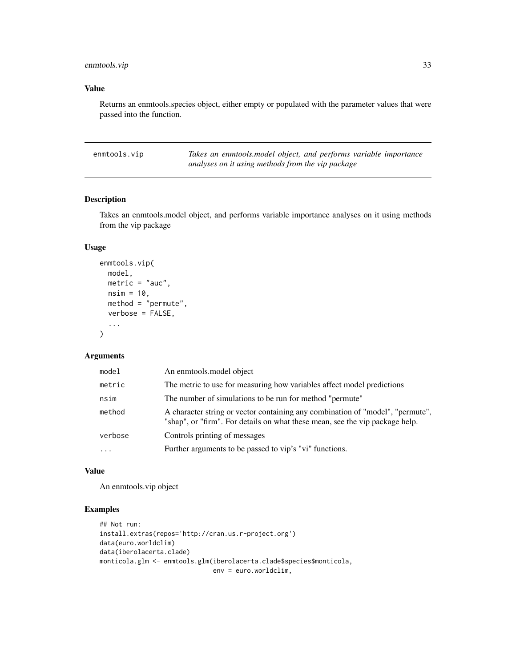<span id="page-32-0"></span>enmtools.vip 33

#### Value

Returns an enmtools.species object, either empty or populated with the parameter values that were passed into the function.

| enmtools.vip | Takes an enmtools model object, and performs variable importance |
|--------------|------------------------------------------------------------------|
|              | analyses on it using methods from the vip package                |

#### Description

Takes an enmtools.model object, and performs variable importance analyses on it using methods from the vip package

#### Usage

```
enmtools.vip(
  model,
  metric = "auc",
  nsim = 10,
  method = "permute",
  verbose = FALSE,
  ...
\mathcal{L}
```
#### Arguments

| model     | An enmtools, model object                                                                                                                                      |
|-----------|----------------------------------------------------------------------------------------------------------------------------------------------------------------|
| metric    | The metric to use for measuring how variables affect model predictions                                                                                         |
| nsim      | The number of simulations to be run for method "permute"                                                                                                       |
| method    | A character string or vector containing any combination of "model", "permute",<br>"shap", or "firm". For details on what these mean, see the vip package help. |
| verbose   | Controls printing of messages                                                                                                                                  |
| $\ddotsc$ | Further arguments to be passed to vip's "vi" functions.                                                                                                        |

#### Value

An enmtools.vip object

```
## Not run:
install.extras(repos='http://cran.us.r-project.org')
data(euro.worldclim)
data(iberolacerta.clade)
monticola.glm <- enmtools.glm(iberolacerta.clade$species$monticola,
                             env = euro.worldclim,
```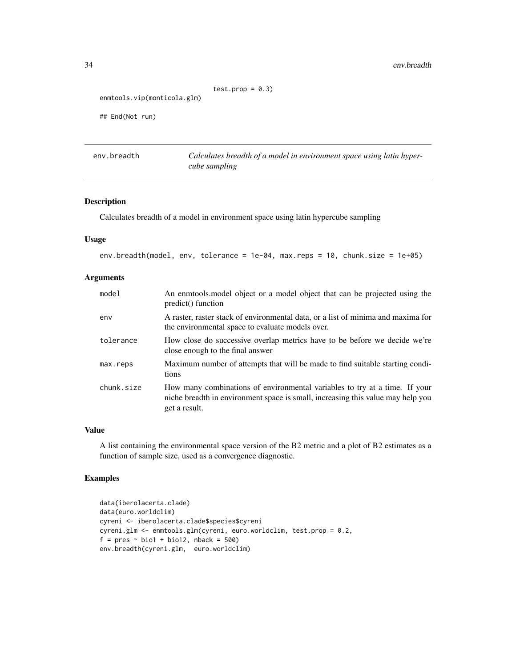#### <span id="page-33-0"></span>34 env.breadth

```
test.prop = 0.3)
```

```
enmtools.vip(monticola.glm)
```
## End(Not run)

env.breadth *Calculates breadth of a model in environment space using latin hypercube sampling*

#### Description

Calculates breadth of a model in environment space using latin hypercube sampling

#### Usage

env.breadth(model, env, tolerance = 1e-04, max.reps = 10, chunk.size = 1e+05)

#### Arguments

| model      | An enmtools model object or a model object that can be projected using the<br>predict() function                                                                               |
|------------|--------------------------------------------------------------------------------------------------------------------------------------------------------------------------------|
| env        | A raster, raster stack of environmental data, or a list of minima and maxima for<br>the environmental space to evaluate models over.                                           |
| tolerance  | How close do successive overlap metrics have to be before we decide we're<br>close enough to the final answer                                                                  |
| max.reps   | Maximum number of attempts that will be made to find suitable starting condi-<br>tions                                                                                         |
| chunk.size | How many combinations of environmental variables to try at a time. If your<br>niche breadth in environment space is small, increasing this value may help you<br>get a result. |

#### Value

A list containing the environmental space version of the B2 metric and a plot of B2 estimates as a function of sample size, used as a convergence diagnostic.

```
data(iberolacerta.clade)
data(euro.worldclim)
cyreni <- iberolacerta.clade$species$cyreni
cyreni.glm <- enmtools.glm(cyreni, euro.worldclim, test.prop = 0.2,
f = pres ~ bio1 + bio12, nback = 500)
env.breadth(cyreni.glm, euro.worldclim)
```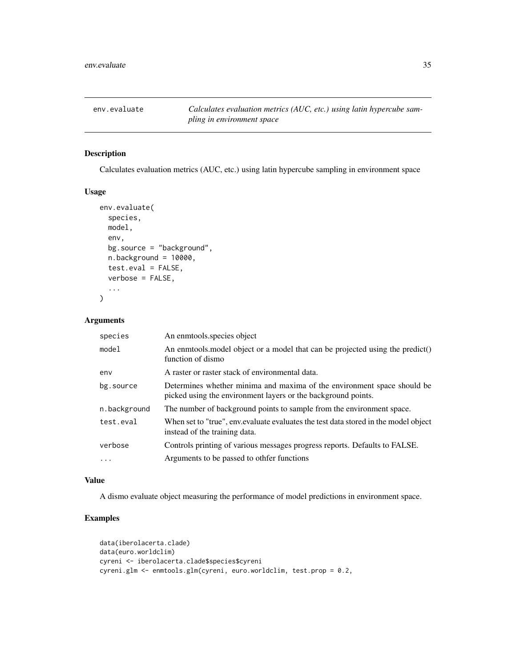<span id="page-34-0"></span>

#### Description

Calculates evaluation metrics (AUC, etc.) using latin hypercube sampling in environment space

#### Usage

```
env.evaluate(
  species,
 model,
  env,
 bg.source = "background",
  n.background = 10000,test.eval = FALSE,
  verbose = FALSE,
  ...
\lambda
```
#### Arguments

| species      | An enmtools.species object                                                                                                               |
|--------------|------------------------------------------------------------------------------------------------------------------------------------------|
| model        | An enmodely object or a model that can be projected using the predict()<br>function of dismo                                             |
| env          | A raster or raster stack of environmental data.                                                                                          |
| bg.source    | Determines whether minima and maxima of the environment space should be<br>picked using the environment layers or the background points. |
| n.background | The number of background points to sample from the environment space.                                                                    |
| test.eval    | When set to "true", env. evaluate evaluates the test data stored in the model object<br>instead of the training data.                    |
| verbose      | Controls printing of various messages progress reports. Defaults to FALSE.                                                               |
| $\cdots$     | Arguments to be passed to other functions                                                                                                |

#### Value

A dismo evaluate object measuring the performance of model predictions in environment space.

```
data(iberolacerta.clade)
data(euro.worldclim)
cyreni <- iberolacerta.clade$species$cyreni
cyreni.glm <- enmtools.glm(cyreni, euro.worldclim, test.prop = 0.2,
```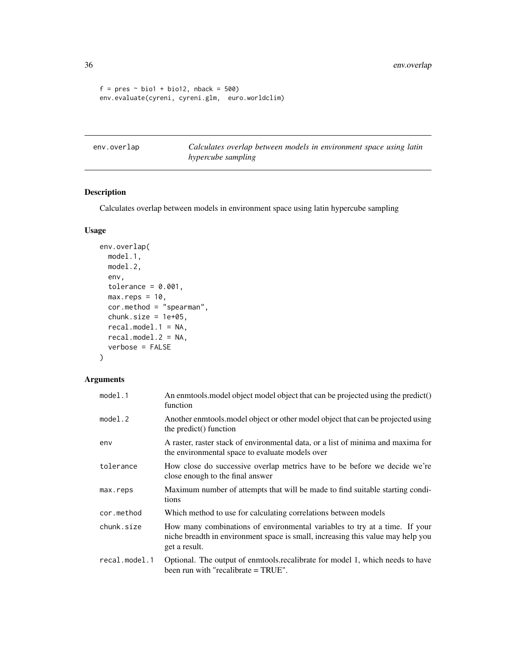```
f = pres ~ ~ ~ bio1 + bio12, nback = 500)env.evaluate(cyreni, cyreni.glm, euro.worldclim)
```
env.overlap *Calculates overlap between models in environment space using latin hypercube sampling*

#### Description

Calculates overlap between models in environment space using latin hypercube sampling

#### Usage

```
env.overlap(
 model.1,
 model.2,
 env,
 tolerance = 0.001,
 max.reps = 10,cor.method = "spearman",
 chunk.size = 1e+05,recal.model.1 = NA,
 recal.model.2 = NA,
  verbose = FALSE
)
```

| model.1       | An enmotols model object model object that can be projected using the predict()<br>function                                                                                    |
|---------------|--------------------------------------------------------------------------------------------------------------------------------------------------------------------------------|
| model.2       | Another enmodels, model object or other model object that can be projected using<br>the predict() function                                                                     |
| env           | A raster, raster stack of environmental data, or a list of minima and maxima for<br>the environmental space to evaluate models over                                            |
| tolerance     | How close do successive overlap metrics have to be before we decide we're<br>close enough to the final answer                                                                  |
| max.reps      | Maximum number of attempts that will be made to find suitable starting condi-<br>tions                                                                                         |
| cor.method    | Which method to use for calculating correlations between models                                                                                                                |
| chunk.size    | How many combinations of environmental variables to try at a time. If your<br>niche breadth in environment space is small, increasing this value may help you<br>get a result. |
| recal.model.1 | Optional. The output of enmtools recalibrate for model 1, which needs to have<br>been run with "recalibrate $=$ TRUE".                                                         |

<span id="page-35-0"></span>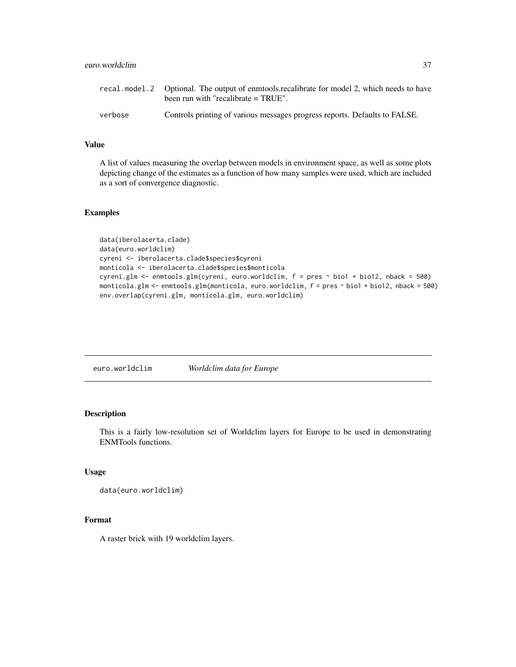<span id="page-36-0"></span>

|         | recal model 2 Optional. The output of enmotols recalibrate for model 2, which needs to have<br>been run with "recalibrate = TRUE". |
|---------|------------------------------------------------------------------------------------------------------------------------------------|
| verbose | Controls printing of various messages progress reports. Defaults to FALSE.                                                         |

#### Value

A list of values measuring the overlap between models in environment space, as well as some plots depicting change of the estimates as a function of how many samples were used, which are included as a sort of convergence diagnostic.

#### Examples

```
data(iberolacerta.clade)
data(euro.worldclim)
cyreni <- iberolacerta.clade$species$cyreni
monticola <- iberolacerta.clade$species$monticola
cyreni.glm <- enmtools.glm(cyreni, euro.worldclim, f = pres ~ bio1 + bio12, nback = 500)
monticola.glm <- enmtools.glm(monticola, euro.worldclim, f = pres ~ bio1 + bio12, nback = 500)
env.overlap(cyreni.glm, monticola.glm, euro.worldclim)
```
euro.worldclim *Worldclim data for Europe*

#### Description

This is a fairly low-resolution set of Worldclim layers for Europe to be used in demonstrating ENMTools functions.

#### Usage

```
data(euro.worldclim)
```
#### Format

A raster brick with 19 worldclim layers.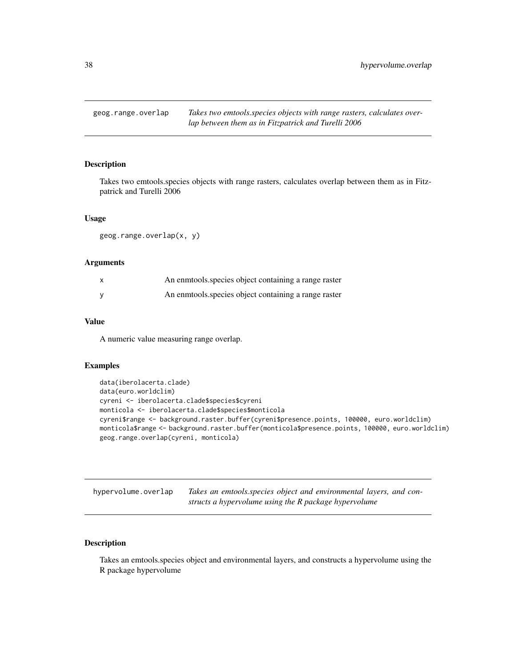<span id="page-37-0"></span>

#### Description

Takes two emtools.species objects with range rasters, calculates overlap between them as in Fitzpatrick and Turelli 2006

#### Usage

geog.range.overlap(x, y)

#### Arguments

| An enmotols species object containing a range raster |
|------------------------------------------------------|
| An enmtools species object containing a range raster |

#### Value

A numeric value measuring range overlap.

#### Examples

```
data(iberolacerta.clade)
data(euro.worldclim)
cyreni <- iberolacerta.clade$species$cyreni
monticola <- iberolacerta.clade$species$monticola
cyreni$range <- background.raster.buffer(cyreni$presence.points, 100000, euro.worldclim)
monticola$range <- background.raster.buffer(monticola$presence.points, 100000, euro.worldclim)
geog.range.overlap(cyreni, monticola)
```

| hypervolume.overlap | Takes an emtools species object and environmental layers, and con- |
|---------------------|--------------------------------------------------------------------|
|                     | structs a hypervolume using the R package hypervolume              |

#### Description

Takes an emtools.species object and environmental layers, and constructs a hypervolume using the R package hypervolume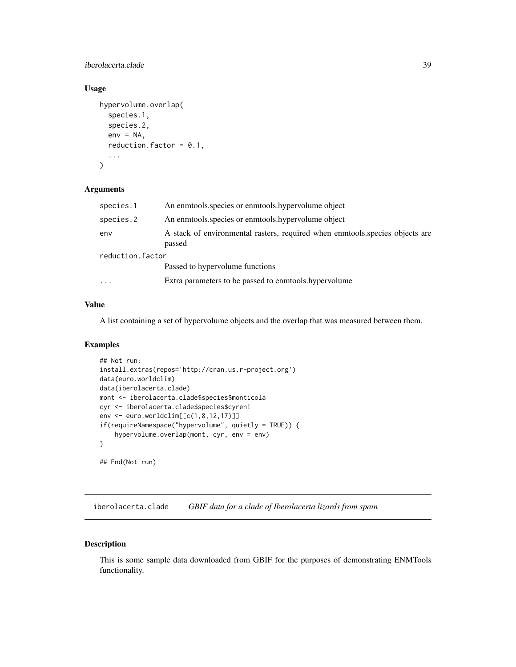#### <span id="page-38-0"></span>iberolacerta.clade 39

#### Usage

```
hypervolume.overlap(
  species.1,
  species.2,
 env = NA,
  reduction.factor = 0.1,
  ...
)
```
#### Arguments

| species.1               | An enmtools species or enmtools hypervolume object                                     |
|-------------------------|----------------------------------------------------------------------------------------|
| species.2               | An enmotols species or enmotols hypervolume object                                     |
| env                     | A stack of environmental rasters, required when enmotols species objects are<br>passed |
| reduction.factor        |                                                                                        |
|                         | Passed to hypervolume functions                                                        |
| $\cdot$ $\cdot$ $\cdot$ | Extra parameters to be passed to enmotols. hypervolume                                 |
|                         |                                                                                        |

#### Value

A list containing a set of hypervolume objects and the overlap that was measured between them.

#### Examples

```
## Not run:
install.extras(repos='http://cran.us.r-project.org')
data(euro.worldclim)
data(iberolacerta.clade)
mont <- iberolacerta.clade$species$monticola
cyr <- iberolacerta.clade$species$cyreni
env <- euro.worldclim[[c(1,8,12,17)]]
if(requireNamespace("hypervolume", quietly = TRUE)) {
    hypervolume.overlap(mont, cyr, env = env)
}
## End(Not run)
```
iberolacerta.clade *GBIF data for a clade of Iberolacerta lizards from spain*

#### Description

This is some sample data downloaded from GBIF for the purposes of demonstrating ENMTools functionality.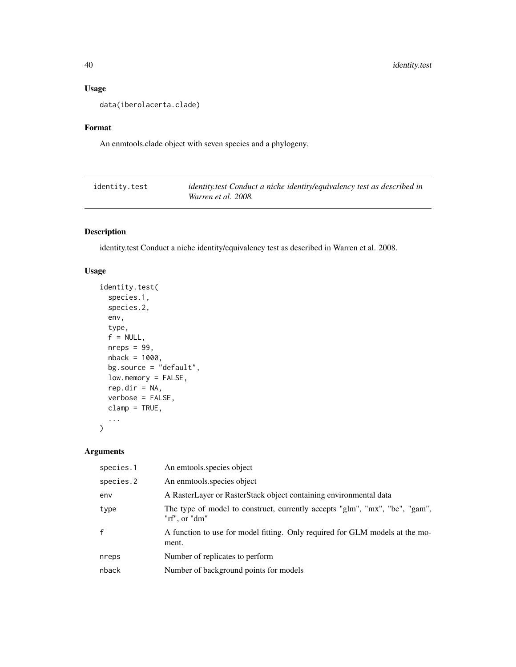#### Usage

data(iberolacerta.clade)

#### Format

An enmtools.clade object with seven species and a phylogeny.

| identity.test | identity.test Conduct a niche identity/equivalency test as described in |
|---------------|-------------------------------------------------------------------------|
|               | Warren et al. 2008.                                                     |

#### Description

identity.test Conduct a niche identity/equivalency test as described in Warren et al. 2008.

#### Usage

```
identity.test(
  species.1,
  species.2,
 env,
  type,
  f = NULL,nreps = 99,
 nback = 1000,
 bg.source = "default",
  low.memory = FALSE,
  rep.dim = NA,verbose = FALSE,
 clamp = TRUE,...
\mathcal{L}
```

| species.1    | An emtools.species object                                                                    |
|--------------|----------------------------------------------------------------------------------------------|
| species.2    | An enmtools species object                                                                   |
| env          | A RasterLayer or RasterStack object containing environmental data                            |
| type         | The type of model to construct, currently accepts "glm", "mx", "bc", "gam",<br>"rf", or "dm" |
| $\mathsf{f}$ | A function to use for model fitting. Only required for GLM models at the mo-<br>ment.        |
| nreps        | Number of replicates to perform                                                              |
| nback        | Number of background points for models                                                       |
|              |                                                                                              |

<span id="page-39-0"></span>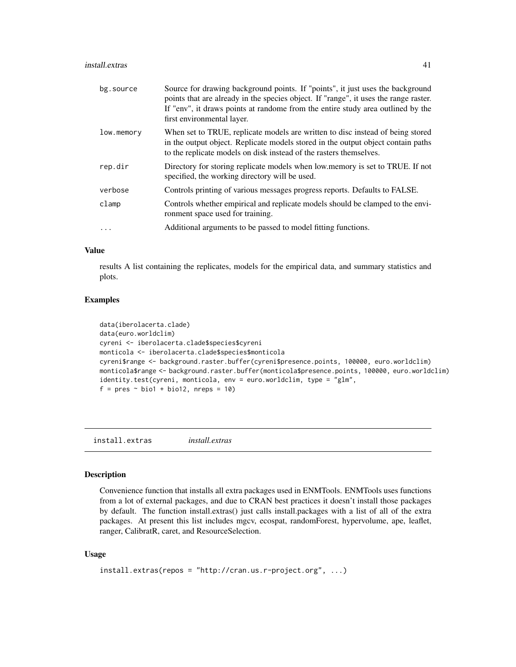#### <span id="page-40-0"></span>install.extras 41

| bg.source  | Source for drawing background points. If "points", it just uses the background<br>points that are already in the species object. If "range", it uses the range raster.<br>If "env", it draws points at randome from the entire study area outlined by the<br>first environmental layer. |
|------------|-----------------------------------------------------------------------------------------------------------------------------------------------------------------------------------------------------------------------------------------------------------------------------------------|
| low.memory | When set to TRUE, replicate models are written to disc instead of being stored<br>in the output object. Replicate models stored in the output object contain paths<br>to the replicate models on disk instead of the rasters themselves.                                                |
| rep.dir    | Directory for storing replicate models when low memory is set to TRUE. If not<br>specified, the working directory will be used.                                                                                                                                                         |
| verbose    | Controls printing of various messages progress reports. Defaults to FALSE.                                                                                                                                                                                                              |
| clamp      | Controls whether empirical and replicate models should be clamped to the envi-<br>ronment space used for training.                                                                                                                                                                      |
|            | Additional arguments to be passed to model fitting functions.                                                                                                                                                                                                                           |

#### Value

results A list containing the replicates, models for the empirical data, and summary statistics and plots.

#### Examples

```
data(iberolacerta.clade)
data(euro.worldclim)
cyreni <- iberolacerta.clade$species$cyreni
monticola <- iberolacerta.clade$species$monticola
cyreni$range <- background.raster.buffer(cyreni$presence.points, 100000, euro.worldclim)
monticola$range <- background.raster.buffer(monticola$presence.points, 100000, euro.worldclim)
identity.test(cyreni, monticola, env = euro.worldclim, type = "glm",
f = pres ~ ~ ~ bio1 + bio12, nreps = 10)
```
install.extras *install.extras*

#### Description

Convenience function that installs all extra packages used in ENMTools. ENMTools uses functions from a lot of external packages, and due to CRAN best practices it doesn't install those packages by default. The function install.extras() just calls install.packages with a list of all of the extra packages. At present this list includes mgcv, ecospat, randomForest, hypervolume, ape, leaflet, ranger, CalibratR, caret, and ResourceSelection.

#### Usage

```
install.extras(repos = "http://cran.us.r-project.org", ...)
```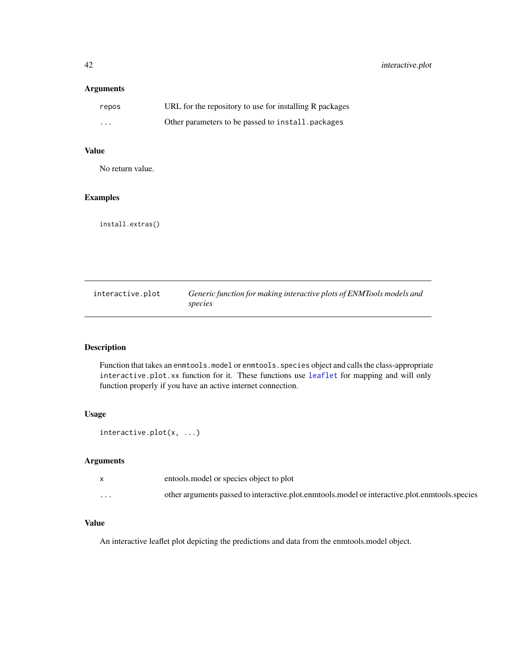#### <span id="page-41-0"></span>Arguments

| repos    | URL for the repository to use for installing R packages |
|----------|---------------------------------------------------------|
| $\cdots$ | Other parameters to be passed to install, packages      |

#### Value

No return value.

#### Examples

install.extras()

| interactive.plot | Generic function for making interactive plots of ENMTools models and |
|------------------|----------------------------------------------------------------------|
|                  | species                                                              |

#### Description

Function that takes an enmtools.model or enmtools.species object and calls the class-appropriate interactive.plot.xx function for it. These functions use [leaflet](#page-0-0) for mapping and will only function properly if you have an active internet connection.

#### Usage

```
interactive.plot(x, ...)
```
#### Arguments

|                      | entools model or species object to plot                                                        |
|----------------------|------------------------------------------------------------------------------------------------|
| $\ddot{\phantom{0}}$ | other arguments passed to interactive.plot.enmtools.model or interactive.plot.enmtools.species |

#### Value

An interactive leaflet plot depicting the predictions and data from the enmtools.model object.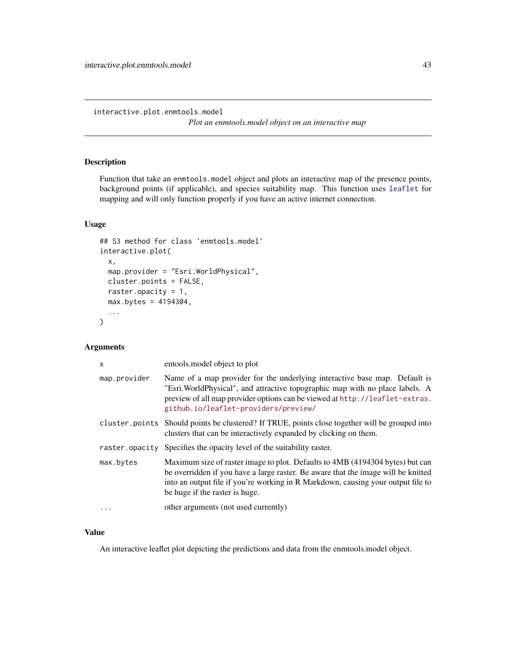<span id="page-42-0"></span>interactive.plot.enmtools.model

*Plot an enmtools.model object on an interactive map*

#### Description

Function that take an enmtools.model object and plots an interactive map of the presence points, background points (if applicable), and species suitability map. This function uses [leaflet](#page-0-0) for mapping and will only function properly if you have an active internet connection.

#### Usage

```
## S3 method for class 'enmtools.model'
interactive.plot(
 x,
 map.provider = "Esri.WorldPhysical",
 cluster.points = FALSE,
 raster.opacity = 1,
 max.bytes = 4194304,
  ...
\mathcal{L}
```
#### Arguments

| X              | entools model object to plot                                                                                                                                                                                                                                                             |
|----------------|------------------------------------------------------------------------------------------------------------------------------------------------------------------------------------------------------------------------------------------------------------------------------------------|
| map.provider   | Name of a map provider for the underlying interactive base map. Default is<br>"Esri. WorldPhysical", and attractive topographic map with no place labels. A<br>preview of all map provider options can be viewed at http://leaflet-extras.<br>github.io/leaflet-providers/preview/       |
|                | cluster points Should points be clustered? If TRUE, points close together will be grouped into<br>clusters that can be interactively expanded by clicking on them.                                                                                                                       |
| raster.opacity | Specifies the opacity level of the suitability raster.                                                                                                                                                                                                                                   |
| max.bytes      | Maximum size of raster image to plot. Defaults to 4MB (4194304 bytes) but can<br>be overridden if you have a large raster. Be aware that the image will be knitted<br>into an output file if you're working in R Markdown, causing your output file to<br>be huge if the raster is huge. |
| .              | other arguments (not used currently)                                                                                                                                                                                                                                                     |

#### Value

An interactive leaflet plot depicting the predictions and data from the enmtools.model object.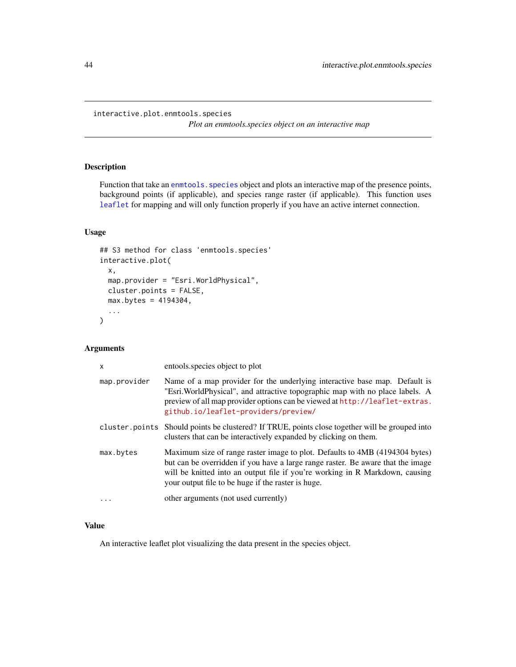```
interactive.plot.enmtools.species
```
*Plot an enmtools.species object on an interactive map*

#### Description

Function that take an enmtools. species object and plots an interactive map of the presence points, background points (if applicable), and species range raster (if applicable). This function uses [leaflet](#page-0-0) for mapping and will only function properly if you have an active internet connection.

#### Usage

```
## S3 method for class 'enmtools.species'
interactive.plot(
 x,
 map.provider = "Esri.WorldPhysical",
 cluster.points = FALSE,
 max.bytes = 4194304,
  ...
\mathcal{L}
```
#### Arguments

| X            | entools species object to plot                                                                                                                                                                                                                                                                       |
|--------------|------------------------------------------------------------------------------------------------------------------------------------------------------------------------------------------------------------------------------------------------------------------------------------------------------|
| map.provider | Name of a map provider for the underlying interactive base map. Default is<br>"Esri. WorldPhysical", and attractive topographic map with no place labels. A<br>preview of all map provider options can be viewed at http://leaflet-extras.<br>github.io/leaflet-providers/preview/                   |
|              | cluster points Should points be clustered? If TRUE, points close together will be grouped into<br>clusters that can be interactively expanded by clicking on them.                                                                                                                                   |
| max.bytes    | Maximum size of range raster image to plot. Defaults to 4MB (4194304 bytes)<br>but can be overridden if you have a large range raster. Be aware that the image<br>will be knitted into an output file if you're working in R Markdown, causing<br>your output file to be huge if the raster is huge. |
| .            | other arguments (not used currently)                                                                                                                                                                                                                                                                 |
|              |                                                                                                                                                                                                                                                                                                      |

#### Value

An interactive leaflet plot visualizing the data present in the species object.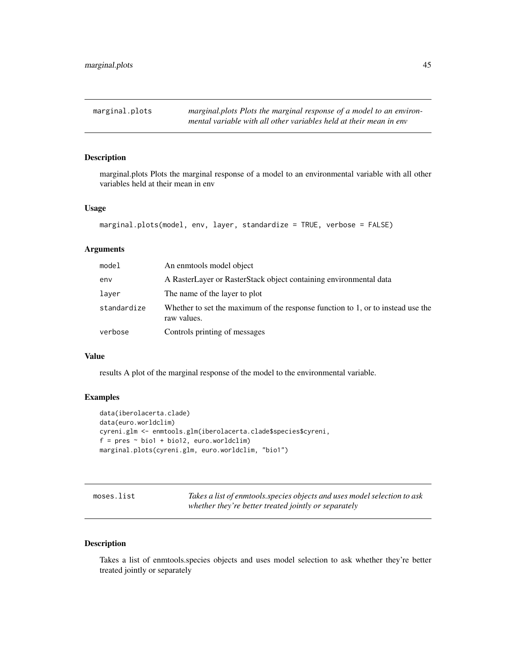<span id="page-44-0"></span>

#### Description

marginal.plots Plots the marginal response of a model to an environmental variable with all other variables held at their mean in env

#### Usage

```
marginal.plots(model, env, layer, standardize = TRUE, verbose = FALSE)
```
#### Arguments

| model       | An enmotols model object                                                                       |
|-------------|------------------------------------------------------------------------------------------------|
| env         | A RasterLayer or RasterStack object containing environmental data                              |
| layer       | The name of the layer to plot                                                                  |
| standardize | Whether to set the maximum of the response function to 1, or to instead use the<br>raw values. |
| verbose     | Controls printing of messages                                                                  |

#### Value

results A plot of the marginal response of the model to the environmental variable.

#### Examples

```
data(iberolacerta.clade)
data(euro.worldclim)
cyreni.glm <- enmtools.glm(iberolacerta.clade$species$cyreni,
f = pres ~ ~ ~ bio1 + bio12, euro.worldclim)marginal.plots(cyreni.glm, euro.worldclim, "bio1")
```
moses.list *Takes a list of enmtools.species objects and uses model selection to ask whether they're better treated jointly or separately*

#### Description

Takes a list of enmtools.species objects and uses model selection to ask whether they're better treated jointly or separately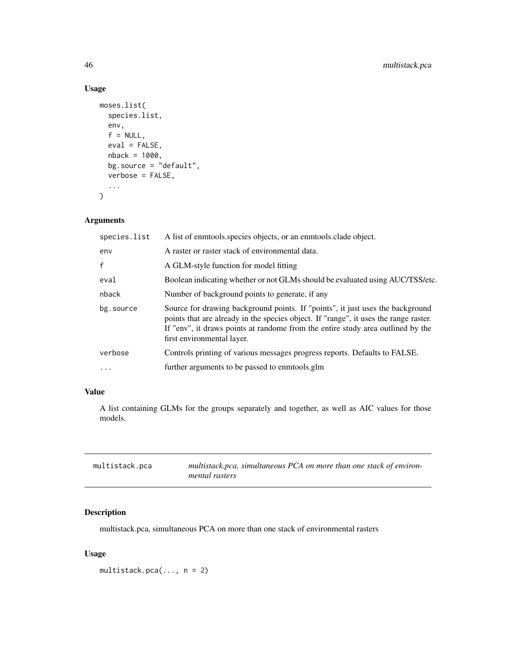#### Usage

```
moses.list(
  species.list,
 env,
  f = NULL,eval = FALSE,nback = 1000,
 bg.source = "default",
 verbose = FALSE,
  ...
)
```
#### Arguments

| species.list | A list of enmotols species objects, or an enmotols clade object.                                                                                                                                                                                                                        |
|--------------|-----------------------------------------------------------------------------------------------------------------------------------------------------------------------------------------------------------------------------------------------------------------------------------------|
| env          | A raster or raster stack of environmental data.                                                                                                                                                                                                                                         |
| $\mathsf{f}$ | A GLM-style function for model fitting                                                                                                                                                                                                                                                  |
| eval         | Boolean indicating whether or not GLMs should be evaluated using AUC/TSS/etc.                                                                                                                                                                                                           |
| nback        | Number of background points to generate, if any                                                                                                                                                                                                                                         |
| bg.source    | Source for drawing background points. If "points", it just uses the background<br>points that are already in the species object. If "range", it uses the range raster.<br>If "env", it draws points at randome from the entire study area outlined by the<br>first environmental layer. |
| verbose      | Controls printing of various messages progress reports. Defaults to FALSE.                                                                                                                                                                                                              |
| $\ddots$ .   | further arguments to be passed to enmotols.glm                                                                                                                                                                                                                                          |

#### Value

A list containing GLMs for the groups separately and together, as well as AIC values for those models.

| multistack.pca | multistack.pca, simultaneous PCA on more than one stack of environ- |
|----------------|---------------------------------------------------------------------|
|                | <i>mental rasters</i>                                               |

#### Description

multistack.pca, simultaneous PCA on more than one stack of environmental rasters

#### Usage

multistack.pca $(..., n = 2)$ 

<span id="page-45-0"></span>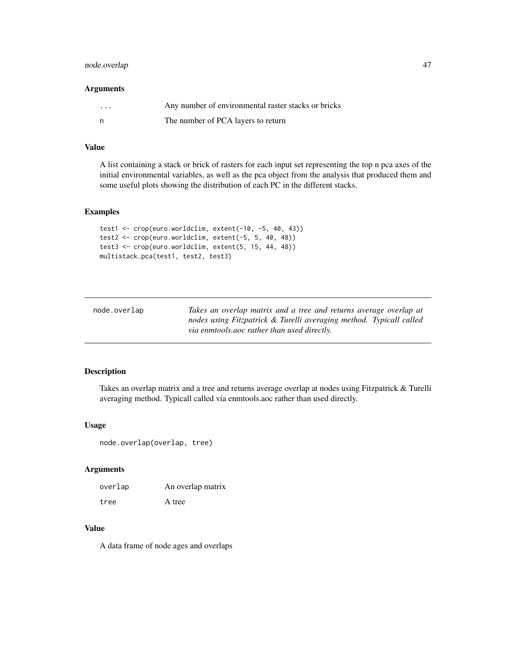#### <span id="page-46-0"></span>node.overlap 47

#### Arguments

| $\cdots$ | Any number of environmental raster stacks or bricks |
|----------|-----------------------------------------------------|
|          | The number of PCA layers to return                  |

#### Value

A list containing a stack or brick of rasters for each input set representing the top n pca axes of the initial environmental variables, as well as the pca object from the analysis that produced them and some useful plots showing the distribution of each PC in the different stacks.

#### Examples

```
test1 <- crop(euro.worldclim, extent(-10, -5, 40, 43))
test2 <- crop(euro.worldclim, extent(-5, 5, 40, 48))
test3 <- crop(euro.worldclim, extent(5, 15, 44, 48))
multistack.pca(test1, test2, test3)
```

| node.overlap | Takes an overlap matrix and a tree and returns average overlap at   |
|--------------|---------------------------------------------------------------------|
|              | nodes using Fitzpatrick & Turelli averaging method. Typicall called |
|              | via enmtools.aoc rather than used directly.                         |

#### Description

Takes an overlap matrix and a tree and returns average overlap at nodes using Fitzpatrick & Turelli averaging method. Typicall called via enmtools.aoc rather than used directly.

#### Usage

```
node.overlap(overlap, tree)
```
#### Arguments

| overlap | An overlap matrix |
|---------|-------------------|
| tree    | A tree            |

#### Value

A data frame of node ages and overlaps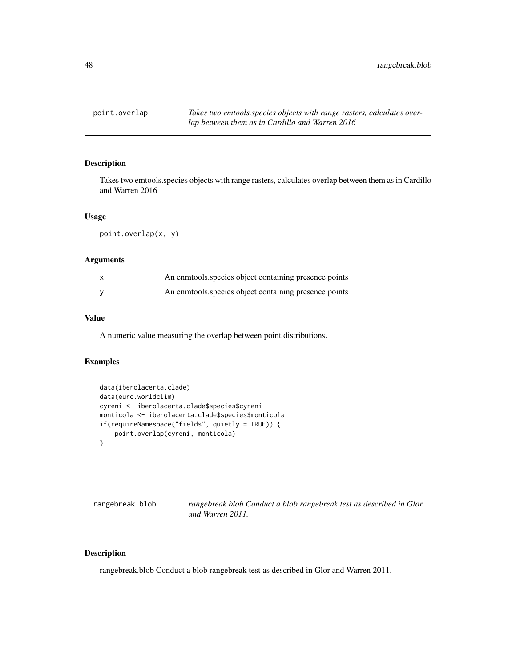<span id="page-47-0"></span>

#### Description

Takes two emtools.species objects with range rasters, calculates overlap between them as in Cardillo and Warren 2016

#### Usage

```
point.overlap(x, y)
```
#### Arguments

| An enmtools species object containing presence points |
|-------------------------------------------------------|
| An enmotols species object containing presence points |

#### Value

A numeric value measuring the overlap between point distributions.

#### Examples

```
data(iberolacerta.clade)
data(euro.worldclim)
cyreni <- iberolacerta.clade$species$cyreni
monticola <- iberolacerta.clade$species$monticola
if(requireNamespace("fields", quietly = TRUE)) {
    point.overlap(cyreni, monticola)
}
```

| rangebreak.blob | rangebreak.blob Conduct a blob rangebreak test as described in Glor |
|-----------------|---------------------------------------------------------------------|
|                 | and Warren 2011.                                                    |

#### Description

rangebreak.blob Conduct a blob rangebreak test as described in Glor and Warren 2011.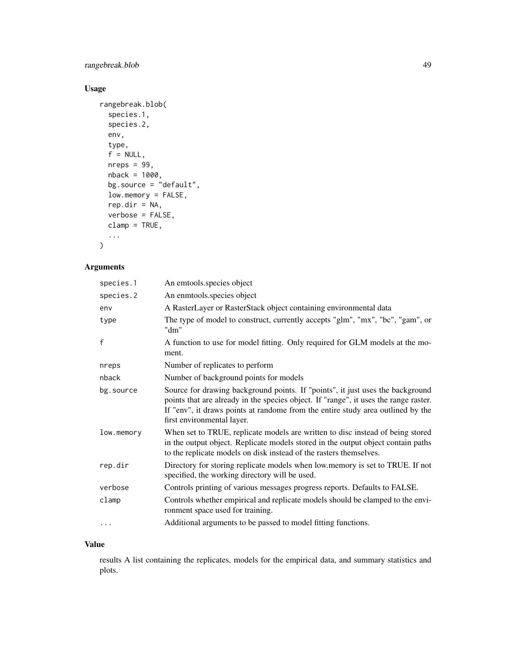#### rangebreak.blob 49

#### Usage

```
rangebreak.blob(
  species.1,
  species.2,
 env,
  type,
  f = NULL,nreps = 99,nback = 1000,
 bg.source = "default",
  low-memory = FALSE,rep.dim = NA,verbose = FALSE,
 clamp = TRUE,
  ...
\mathcal{L}
```
#### Arguments

| species.1    | An emtools.species object                                                                                                                                                                                                                                                               |
|--------------|-----------------------------------------------------------------------------------------------------------------------------------------------------------------------------------------------------------------------------------------------------------------------------------------|
| species.2    | An enmtools.species object                                                                                                                                                                                                                                                              |
| env          | A RasterLayer or RasterStack object containing environmental data                                                                                                                                                                                                                       |
| type         | The type of model to construct, currently accepts "glm", "mx", "bc", "gam", or<br>"dm"                                                                                                                                                                                                  |
| $\mathsf{f}$ | A function to use for model fitting. Only required for GLM models at the mo-<br>ment.                                                                                                                                                                                                   |
| nreps        | Number of replicates to perform                                                                                                                                                                                                                                                         |
| nback        | Number of background points for models                                                                                                                                                                                                                                                  |
| bg.source    | Source for drawing background points. If "points", it just uses the background<br>points that are already in the species object. If "range", it uses the range raster.<br>If "env", it draws points at randome from the entire study area outlined by the<br>first environmental layer. |
| low.memory   | When set to TRUE, replicate models are written to disc instead of being stored<br>in the output object. Replicate models stored in the output object contain paths<br>to the replicate models on disk instead of the rasters themselves.                                                |
| rep.dir      | Directory for storing replicate models when low.memory is set to TRUE. If not<br>specified, the working directory will be used.                                                                                                                                                         |
| verbose      | Controls printing of various messages progress reports. Defaults to FALSE.                                                                                                                                                                                                              |
| clamp        | Controls whether empirical and replicate models should be clamped to the envi-<br>ronment space used for training.                                                                                                                                                                      |
| $\cdots$     | Additional arguments to be passed to model fitting functions.                                                                                                                                                                                                                           |

#### Value

results A list containing the replicates, models for the empirical data, and summary statistics and plots.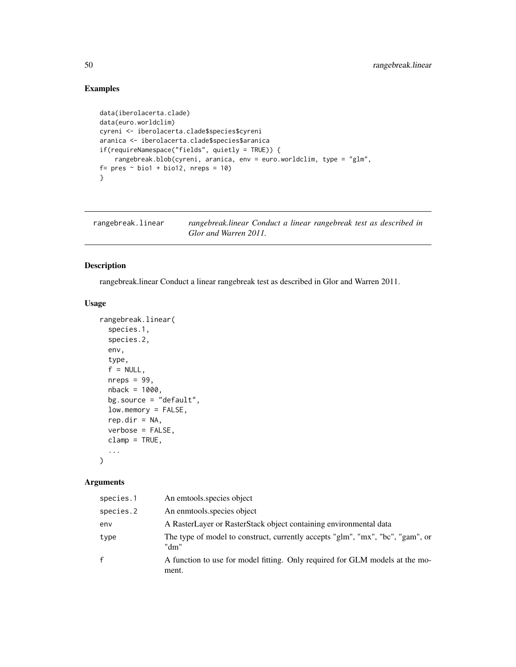#### Examples

```
data(iberolacerta.clade)
data(euro.worldclim)
cyreni <- iberolacerta.clade$species$cyreni
aranica <- iberolacerta.clade$species$aranica
if(requireNamespace("fields", quietly = TRUE)) {
    rangebreak.blob(cyreni, aranica, env = euro.worldclim, type = "glm",
f= \text{pres} \sim \text{biol} + \text{biol2}, \text{nreps} = 10}
```

| rangebreak.linear | rangebreak.linear Conduct a linear rangebreak test as described in |
|-------------------|--------------------------------------------------------------------|
|                   | Glor and Warren 2011.                                              |

#### Description

rangebreak.linear Conduct a linear rangebreak test as described in Glor and Warren 2011.

#### Usage

```
rangebreak.linear(
  species.1,
  species.2,
 env,
  type,
  f = NULL,nreps = 99,
 nback = 1000,
 bg.source = "default",
 low.memory = FALSE,
  rep.dir = NA,
 verbose = FALSE,
  clamp = TRUE,
  ...
\mathcal{L}
```

| species.1    | An emtools species object                                                              |
|--------------|----------------------------------------------------------------------------------------|
| species.2    | An enmtools species object                                                             |
| env          | A RasterLayer or RasterStack object containing environmental data                      |
| type         | The type of model to construct, currently accepts "glm", "mx", "bc", "gam", or<br>"dm" |
| $\mathbf{f}$ | A function to use for model fitting. Only required for GLM models at the mo-<br>ment.  |

<span id="page-49-0"></span>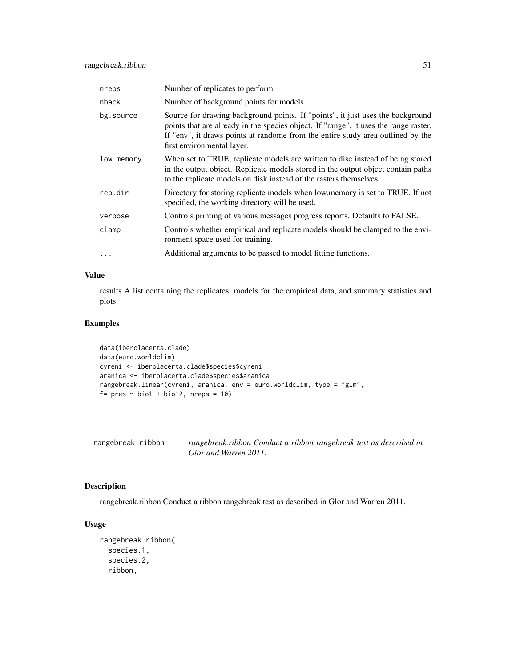<span id="page-50-0"></span>

| nreps      | Number of replicates to perform                                                                                                                                                                                                                                                         |
|------------|-----------------------------------------------------------------------------------------------------------------------------------------------------------------------------------------------------------------------------------------------------------------------------------------|
| nback      | Number of background points for models                                                                                                                                                                                                                                                  |
| bg.source  | Source for drawing background points. If "points", it just uses the background<br>points that are already in the species object. If "range", it uses the range raster.<br>If "env", it draws points at randome from the entire study area outlined by the<br>first environmental layer. |
| low.memory | When set to TRUE, replicate models are written to disc instead of being stored<br>in the output object. Replicate models stored in the output object contain paths<br>to the replicate models on disk instead of the rasters themselves.                                                |
| rep.dir    | Directory for storing replicate models when low memory is set to TRUE. If not<br>specified, the working directory will be used.                                                                                                                                                         |
| verbose    | Controls printing of various messages progress reports. Defaults to FALSE.                                                                                                                                                                                                              |
| clamp      | Controls whether empirical and replicate models should be clamped to the envi-<br>ronment space used for training.                                                                                                                                                                      |
| $\ddotsc$  | Additional arguments to be passed to model fitting functions.                                                                                                                                                                                                                           |

#### Value

results A list containing the replicates, models for the empirical data, and summary statistics and plots.

#### Examples

```
data(iberolacerta.clade)
data(euro.worldclim)
cyreni <- iberolacerta.clade$species$cyreni
aranica <- iberolacerta.clade$species$aranica
rangebreak.linear(cyreni, aranica, env = euro.worldclim, type = "glm",
f= pres ~ ~ ~ bio1 + bio12, nreps = 10)
```

| rangebreak.ribbon | rangebreak.ribbon Conduct a ribbon rangebreak test as described in |
|-------------------|--------------------------------------------------------------------|
|                   | Glor and Warren 2011.                                              |

#### Description

rangebreak.ribbon Conduct a ribbon rangebreak test as described in Glor and Warren 2011.

#### Usage

```
rangebreak.ribbon(
  species.1,
  species.2,
  ribbon,
```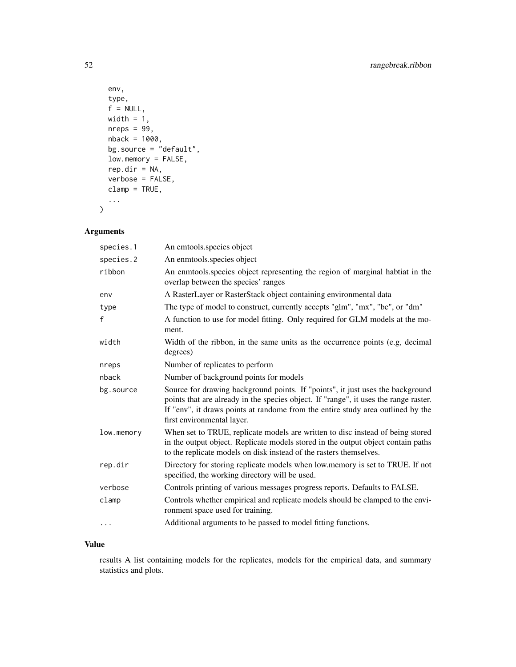```
env,
 type,
 f = NULL,width = 1,
 nreps = 99,
 nback = 1000,
 bg.source = "default",
 low.memory = FALSE,
 rep.dir = NA,
 verbose = FALSE,
 clamp = TRUE,
  ...
)
```
#### Arguments

| species.1    | An emtools.species object                                                                                                                                                                                                                                                               |
|--------------|-----------------------------------------------------------------------------------------------------------------------------------------------------------------------------------------------------------------------------------------------------------------------------------------|
| species.2    | An enmtools.species object                                                                                                                                                                                                                                                              |
| ribbon       | An enmtools species object representing the region of marginal habitat in the<br>overlap between the species' ranges                                                                                                                                                                    |
| env          | A RasterLayer or RasterStack object containing environmental data                                                                                                                                                                                                                       |
| type         | The type of model to construct, currently accepts "glm", "mx", "bc", or "dm"                                                                                                                                                                                                            |
| $\mathbf{f}$ | A function to use for model fitting. Only required for GLM models at the mo-<br>ment.                                                                                                                                                                                                   |
| width        | Width of the ribbon, in the same units as the occurrence points (e.g. decimal<br>degrees)                                                                                                                                                                                               |
| nreps        | Number of replicates to perform                                                                                                                                                                                                                                                         |
| nback        | Number of background points for models                                                                                                                                                                                                                                                  |
| bg.source    | Source for drawing background points. If "points", it just uses the background<br>points that are already in the species object. If "range", it uses the range raster.<br>If "env", it draws points at randome from the entire study area outlined by the<br>first environmental layer. |
| low.memory   | When set to TRUE, replicate models are written to disc instead of being stored<br>in the output object. Replicate models stored in the output object contain paths<br>to the replicate models on disk instead of the rasters themselves.                                                |
| rep.dir      | Directory for storing replicate models when low.memory is set to TRUE. If not<br>specified, the working directory will be used.                                                                                                                                                         |
| verbose      | Controls printing of various messages progress reports. Defaults to FALSE.                                                                                                                                                                                                              |
| clamp        | Controls whether empirical and replicate models should be clamped to the envi-<br>ronment space used for training.                                                                                                                                                                      |
| $\cdots$     | Additional arguments to be passed to model fitting functions.                                                                                                                                                                                                                           |
|              |                                                                                                                                                                                                                                                                                         |

#### Value

results A list containing models for the replicates, models for the empirical data, and summary statistics and plots.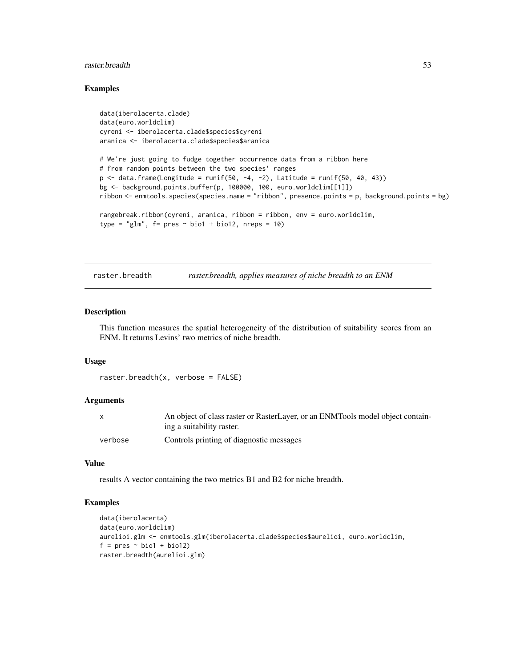#### <span id="page-52-0"></span>raster.breadth 53

#### Examples

```
data(iberolacerta.clade)
data(euro.worldclim)
cyreni <- iberolacerta.clade$species$cyreni
aranica <- iberolacerta.clade$species$aranica
# We're just going to fudge together occurrence data from a ribbon here
# from random points between the two species' ranges
p \leftarrow data.frame(Longitude = runif(50, -4, -2), Latitude = runif(50, 40, 43))
bg <- background.points.buffer(p, 100000, 100, euro.worldclim[[1]])
ribbon <- enmtools.species(species.name = "ribbon", presence.points = p, background.points = bg)
rangebreak.ribbon(cyreni, aranica, ribbon = ribbon, env = euro.worldclim,
type = "glm", f = pres ~ ~ ~ ~ ~ ~ ~ ~ ~ ~ ~ ~ bio1 + bio12, nreps = 10)
```
raster.breadth *raster.breadth, applies measures of niche breadth to an ENM*

#### Description

This function measures the spatial heterogeneity of the distribution of suitability scores from an ENM. It returns Levins' two metrics of niche breadth.

#### Usage

```
raster.breadth(x, verbose = FALSE)
```
#### Arguments

|         | An object of class raster or RasterLayer, or an ENMTools model object contain- |
|---------|--------------------------------------------------------------------------------|
|         | ing a suitability raster.                                                      |
| verbose | Controls printing of diagnostic messages                                       |

#### Value

results A vector containing the two metrics B1 and B2 for niche breadth.

```
data(iberolacerta)
data(euro.worldclim)
aurelioi.glm <- enmtools.glm(iberolacerta.clade$species$aurelioi, euro.worldclim,
f = pres ~ ~ ~ bio1 + bio12)raster.breadth(aurelioi.glm)
```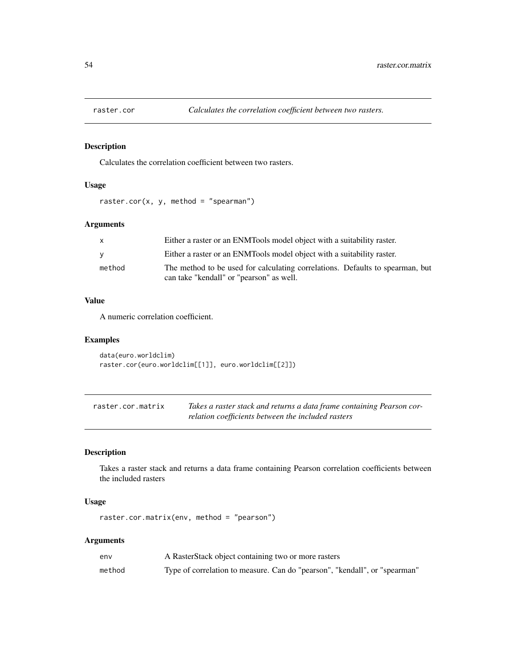<span id="page-53-0"></span>

#### Description

Calculates the correlation coefficient between two rasters.

#### Usage

raster.cor(x, y, method = "spearman")

#### Arguments

| $\mathsf{X}$ | Either a raster or an ENMTools model object with a suitability raster.        |
|--------------|-------------------------------------------------------------------------------|
| <b>V</b>     | Either a raster or an ENMTools model object with a suitability raster.        |
| method       | The method to be used for calculating correlations. Defaults to spearman, but |
|              | can take "kendall" or "pearson" as well.                                      |

#### Value

A numeric correlation coefficient.

#### Examples

```
data(euro.worldclim)
raster.cor(euro.worldclim[[1]], euro.worldclim[[2]])
```

| raster.cor.matrix | Takes a raster stack and returns a data frame containing Pearson cor- |
|-------------------|-----------------------------------------------------------------------|
|                   | relation coefficients between the included rasters                    |

#### Description

Takes a raster stack and returns a data frame containing Pearson correlation coefficients between the included rasters

#### Usage

raster.cor.matrix(env, method = "pearson")

| env    | A RasterStack object containing two or more rasters                        |
|--------|----------------------------------------------------------------------------|
| method | Type of correlation to measure. Can do "pearson", "kendall", or "spearman" |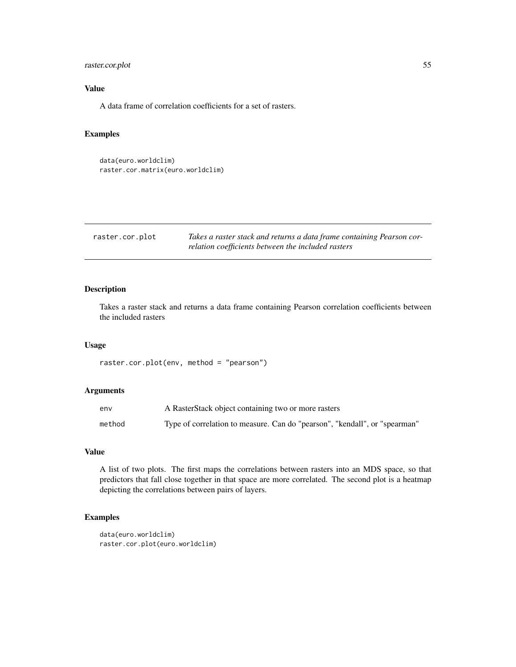#### <span id="page-54-0"></span>raster.cor.plot 55

#### Value

A data frame of correlation coefficients for a set of rasters.

#### Examples

```
data(euro.worldclim)
raster.cor.matrix(euro.worldclim)
```
raster.cor.plot *Takes a raster stack and returns a data frame containing Pearson correlation coefficients between the included rasters*

#### Description

Takes a raster stack and returns a data frame containing Pearson correlation coefficients between the included rasters

#### Usage

raster.cor.plot(env, method = "pearson")

#### Arguments

| env    | A RasterStack object containing two or more rasters                        |
|--------|----------------------------------------------------------------------------|
| method | Type of correlation to measure. Can do "pearson", "kendall", or "spearman" |

#### Value

A list of two plots. The first maps the correlations between rasters into an MDS space, so that predictors that fall close together in that space are more correlated. The second plot is a heatmap depicting the correlations between pairs of layers.

```
data(euro.worldclim)
raster.cor.plot(euro.worldclim)
```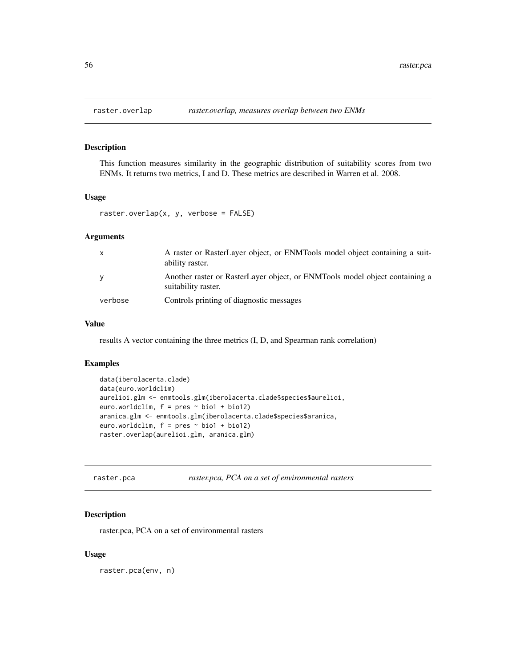<span id="page-55-0"></span>

#### Description

This function measures similarity in the geographic distribution of suitability scores from two ENMs. It returns two metrics, I and D. These metrics are described in Warren et al. 2008.

#### Usage

```
raster.overlap(x, y, verbose = FALSE)
```
#### Arguments

| $\mathsf{x}$ | A raster or RasterLayer object, or ENMTools model object containing a suit-<br>ability raster.     |
|--------------|----------------------------------------------------------------------------------------------------|
| <b>V</b>     | Another raster or RasterLayer object, or ENMTools model object containing a<br>suitability raster. |
| verbose      | Controls printing of diagnostic messages                                                           |

#### Value

results A vector containing the three metrics (I, D, and Spearman rank correlation)

#### Examples

```
data(iberolacerta.clade)
data(euro.worldclim)
aurelioi.glm <- enmtools.glm(iberolacerta.clade$species$aurelioi,
euro.worldclim, f = pres ~ ~ bio1 + bio12)aranica.glm <- enmtools.glm(iberolacerta.clade$species$aranica,
euro.worldclim, f = pres ~ ~ ~ bio1 + bio12)raster.overlap(aurelioi.glm, aranica.glm)
```

| raster.pca | raster.pca, PCA on a set of environmental rasters |  |
|------------|---------------------------------------------------|--|
|------------|---------------------------------------------------|--|

#### Description

raster.pca, PCA on a set of environmental rasters

#### Usage

raster.pca(env, n)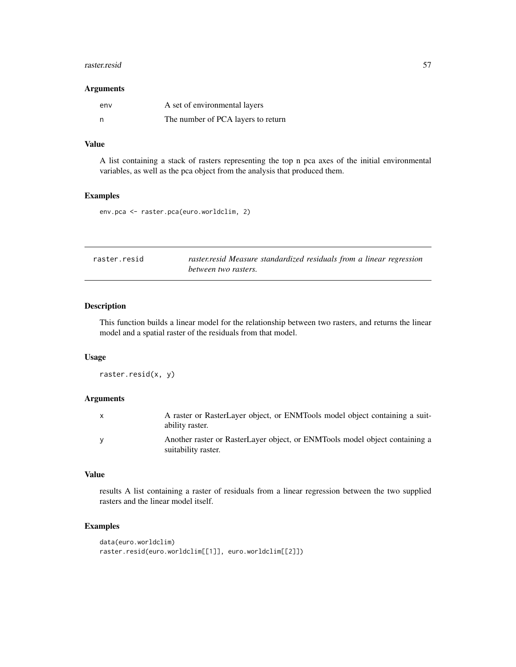#### <span id="page-56-0"></span>raster.resid 57

#### Arguments

| env | A set of environmental layers      |
|-----|------------------------------------|
| - n | The number of PCA layers to return |

#### Value

A list containing a stack of rasters representing the top n pca axes of the initial environmental variables, as well as the pca object from the analysis that produced them.

#### Examples

env.pca <- raster.pca(euro.worldclim, 2)

| raster.resid | raster.resid Measure standardized residuals from a linear regression |
|--------------|----------------------------------------------------------------------|
|              | between two rasters.                                                 |

#### Description

This function builds a linear model for the relationship between two rasters, and returns the linear model and a spatial raster of the residuals from that model.

#### Usage

```
raster.resid(x, y)
```
#### Arguments

| A raster or RasterLayer object, or ENMTools model object containing a suit-<br>ability raster.     |
|----------------------------------------------------------------------------------------------------|
| Another raster or RasterLayer object, or ENMTools model object containing a<br>suitability raster. |

#### Value

results A list containing a raster of residuals from a linear regression between the two supplied rasters and the linear model itself.

```
data(euro.worldclim)
raster.resid(euro.worldclim[[1]], euro.worldclim[[2]])
```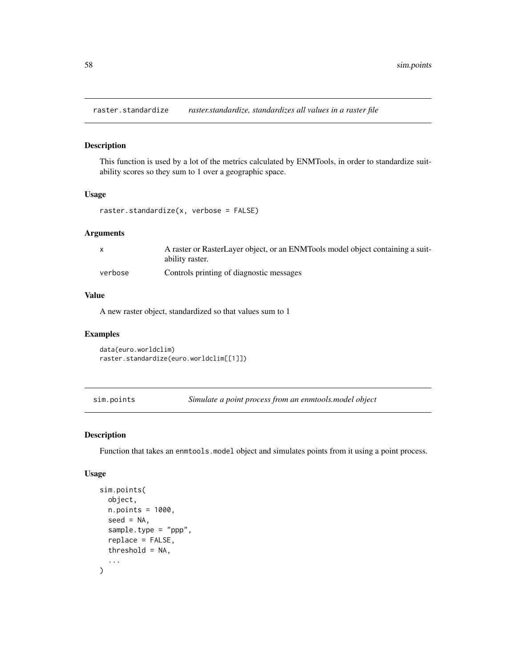<span id="page-57-0"></span>raster.standardize *raster.standardize, standardizes all values in a raster file*

#### Description

This function is used by a lot of the metrics calculated by ENMTools, in order to standardize suitability scores so they sum to 1 over a geographic space.

#### Usage

raster.standardize(x, verbose = FALSE)

#### Arguments

|         | A raster or RasterLayer object, or an ENMTools model object containing a suit- |
|---------|--------------------------------------------------------------------------------|
|         | ability raster.                                                                |
| verbose | Controls printing of diagnostic messages                                       |

#### Value

A new raster object, standardized so that values sum to 1

#### Examples

data(euro.worldclim) raster.standardize(euro.worldclim[[1]])

sim.points *Simulate a point process from an enmtools.model object*

#### Description

Function that takes an enmtools.model object and simulates points from it using a point process.

#### Usage

```
sim.points(
  object,
  n.points = 1000,
  seed = NA,
  sample.type = "ppp",
  replace = FALSE,
  threshold = NA,
  ...
\mathcal{E}
```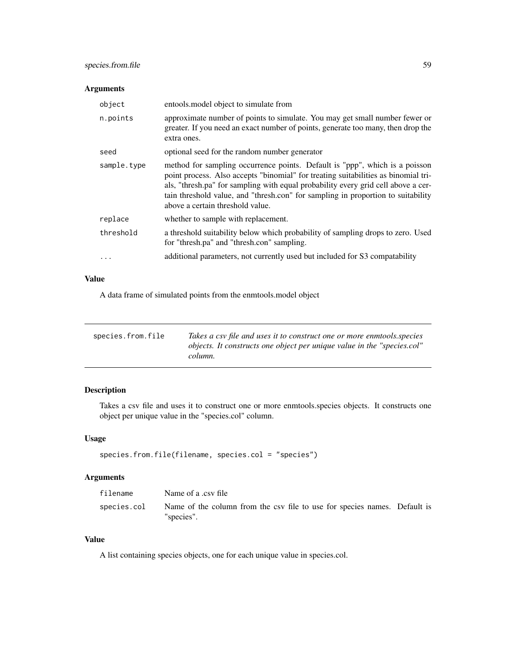#### <span id="page-58-0"></span>Arguments

| object      | entools model object to simulate from                                                                                                                                                                                                                                                                                                                                          |
|-------------|--------------------------------------------------------------------------------------------------------------------------------------------------------------------------------------------------------------------------------------------------------------------------------------------------------------------------------------------------------------------------------|
| n.points    | approximate number of points to simulate. You may get small number fewer or<br>greater. If you need an exact number of points, generate too many, then drop the<br>extra ones.                                                                                                                                                                                                 |
| seed        | optional seed for the random number generator                                                                                                                                                                                                                                                                                                                                  |
| sample.type | method for sampling occurrence points. Default is "ppp", which is a poisson<br>point process. Also accepts "binomial" for treating suitabilities as binomial tri-<br>als, "thresh.pa" for sampling with equal probability every grid cell above a cer-<br>tain threshold value, and "thresh.con" for sampling in proportion to suitability<br>above a certain threshold value. |
| replace     | whether to sample with replacement.                                                                                                                                                                                                                                                                                                                                            |
| threshold   | a threshold suitability below which probability of sampling drops to zero. Used<br>for "thresh.pa" and "thresh.con" sampling.                                                                                                                                                                                                                                                  |
|             | additional parameters, not currently used but included for S3 compatability                                                                                                                                                                                                                                                                                                    |

#### Value

A data frame of simulated points from the enmtools.model object

| species.from.file | Takes a csy file and uses it to construct one or more enmtools.species<br>objects. It constructs one object per unique value in the "species.col"<br>column. |
|-------------------|--------------------------------------------------------------------------------------------------------------------------------------------------------------|
|-------------------|--------------------------------------------------------------------------------------------------------------------------------------------------------------|

#### Description

Takes a csv file and uses it to construct one or more enmtools.species objects. It constructs one object per unique value in the "species.col" column.

#### Usage

```
species.from.file(filename, species.col = "species")
```
#### Arguments

| filename    | Name of a .csv file                                                                     |  |
|-------------|-----------------------------------------------------------------------------------------|--|
| species.col | Name of the column from the csv file to use for species names. Default is<br>"species". |  |

#### Value

A list containing species objects, one for each unique value in species.col.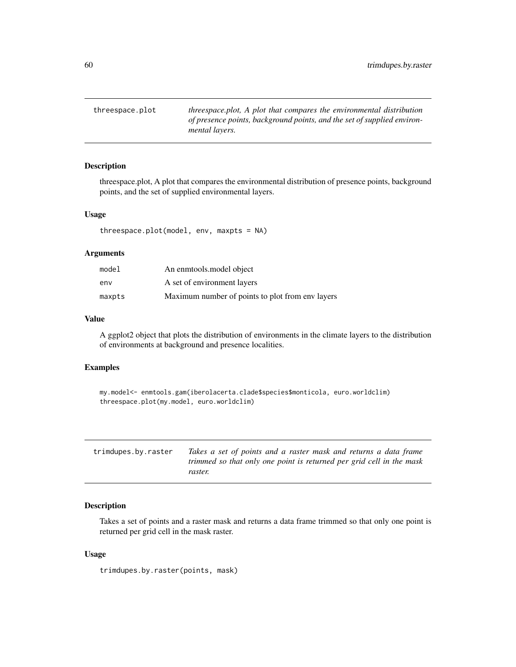<span id="page-59-0"></span>threespace.plot *threespace.plot, A plot that compares the environmental distribution of presence points, background points, and the set of supplied environmental layers.*

#### Description

threespace.plot, A plot that compares the environmental distribution of presence points, background points, and the set of supplied environmental layers.

#### Usage

threespace.plot(model, env, maxpts = NA)

#### Arguments

| model  | An enmtools model object                         |
|--------|--------------------------------------------------|
| env    | A set of environment layers                      |
| maxpts | Maximum number of points to plot from env layers |

#### Value

A ggplot2 object that plots the distribution of environments in the climate layers to the distribution of environments at background and presence localities.

#### Examples

```
my.model<- enmtools.gam(iberolacerta.clade$species$monticola, euro.worldclim)
threespace.plot(my.model, euro.worldclim)
```

| trimdupes.by.raster | Takes a set of points and a raster mask and returns a data frame     |
|---------------------|----------------------------------------------------------------------|
|                     | trimmed so that only one point is returned per grid cell in the mask |
|                     | raster.                                                              |

#### Description

Takes a set of points and a raster mask and returns a data frame trimmed so that only one point is returned per grid cell in the mask raster.

#### Usage

trimdupes.by.raster(points, mask)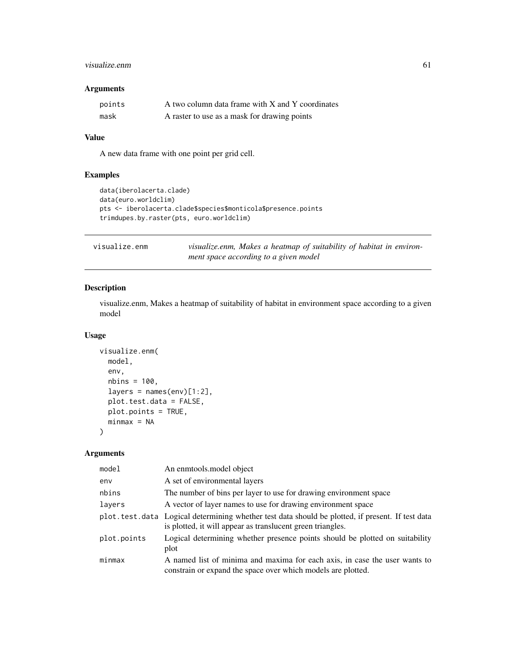#### <span id="page-60-0"></span>visualize.enm 61

#### Arguments

| points | A two column data frame with X and Y coordinates |
|--------|--------------------------------------------------|
| mask   | A raster to use as a mask for drawing points     |

#### Value

A new data frame with one point per grid cell.

#### Examples

```
data(iberolacerta.clade)
data(euro.worldclim)
pts <- iberolacerta.clade$species$monticola$presence.points
trimdupes.by.raster(pts, euro.worldclim)
```

| visualize.enm | visualize.enm, Makes a heatmap of suitability of habitat in environ- |
|---------------|----------------------------------------------------------------------|
|               | ment space according to a given model                                |

#### Description

visualize.enm, Makes a heatmap of suitability of habitat in environment space according to a given model

#### Usage

```
visualize.enm(
 model,
 env,
 nbins = 100,layers = names(env)[1:2],plot.test.data = FALSE,
 plot.points = TRUE,
 minmax = NA)
```

| model       | An enmtools model object                                                                                                                                       |
|-------------|----------------------------------------------------------------------------------------------------------------------------------------------------------------|
| env         | A set of environmental layers                                                                                                                                  |
| nbins       | The number of bins per layer to use for drawing environment space                                                                                              |
| layers      | A vector of layer names to use for drawing environment space                                                                                                   |
|             | plot.test.data Logical determining whether test data should be plotted, if present. If test data<br>is plotted, it will appear as translucent green triangles. |
| plot.points | Logical determining whether presence points should be plotted on suitability<br>plot                                                                           |
| minmax      | A named list of minima and maxima for each axis, in case the user wants to<br>constrain or expand the space over which models are plotted.                     |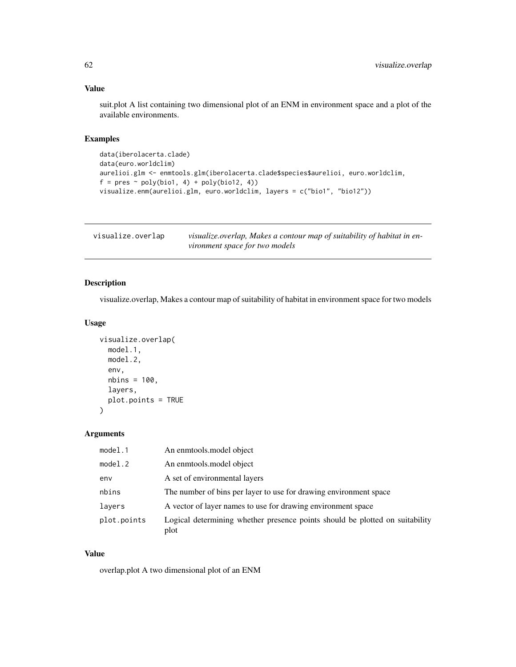#### <span id="page-61-0"></span>Value

suit.plot A list containing two dimensional plot of an ENM in environment space and a plot of the available environments.

#### Examples

```
data(iberolacerta.clade)
data(euro.worldclim)
aurelioi.glm <- enmtools.glm(iberolacerta.clade$species$aurelioi, euro.worldclim,
f = pres ~ ~ ~ ~ ~ ~ ~ ~ ~ ~ ~ ~ ~ ~visualize.enm(aurelioi.glm, euro.worldclim, layers = c("bio1", "bio12"))
```

| visualize.overlap | visualize.overlap, Makes a contour map of suitability of habitat in en- |
|-------------------|-------------------------------------------------------------------------|
|                   | vironment space for two models                                          |

#### Description

visualize.overlap, Makes a contour map of suitability of habitat in environment space for two models

#### Usage

```
visualize.overlap(
 model.1,
 model.2,
 env,
 nbins = 100,
 layers,
 plot.points = TRUE
)
```
#### Arguments

| model.1     | An enmtools model object                                                             |
|-------------|--------------------------------------------------------------------------------------|
| model.2     | An enmtools, model object                                                            |
| env         | A set of environmental layers                                                        |
| nbins       | The number of bins per layer to use for drawing environment space                    |
| layers      | A vector of layer names to use for drawing environment space                         |
| plot.points | Logical determining whether presence points should be plotted on suitability<br>plot |

#### Value

overlap.plot A two dimensional plot of an ENM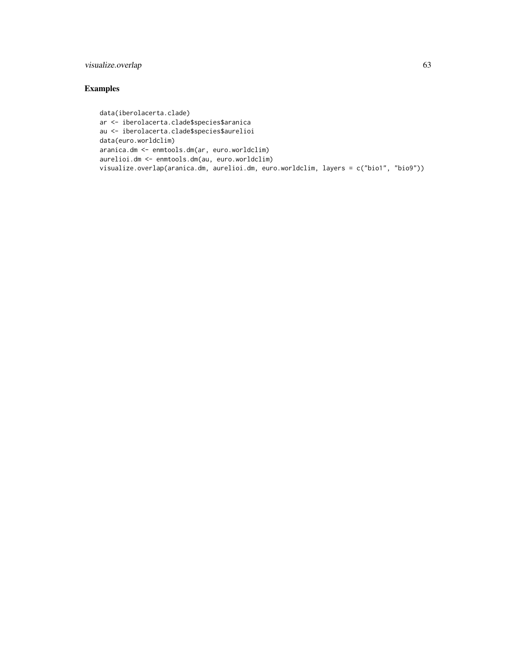#### visualize.overlap 63

```
data(iberolacerta.clade)
ar <- iberolacerta.clade$species$aranica
au <- iberolacerta.clade$species$aurelioi
data(euro.worldclim)
aranica.dm <- enmtools.dm(ar, euro.worldclim)
aurelioi.dm <- enmtools.dm(au, euro.worldclim)
visualize.overlap(aranica.dm, aurelioi.dm, euro.worldclim, layers = c("bio1", "bio9"))
```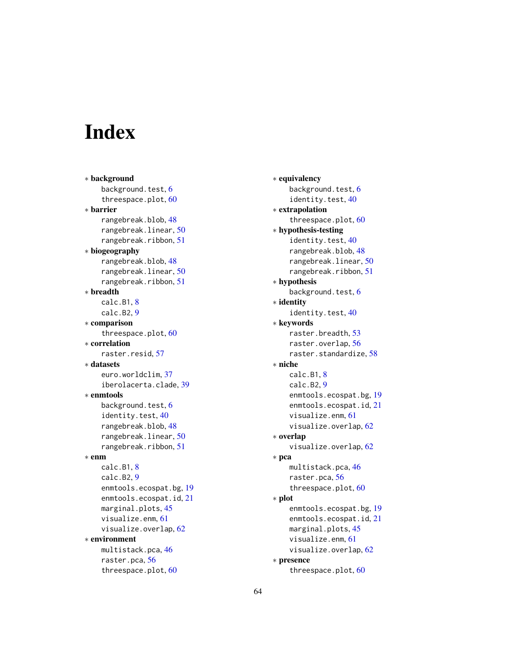# <span id="page-63-0"></span>**Index**

∗ background background.test, [6](#page-5-0) threespace.plot, [60](#page-59-0) ∗ barrier rangebreak.blob, [48](#page-47-0) rangebreak.linear, [50](#page-49-0) rangebreak.ribbon, [51](#page-50-0) ∗ biogeography rangebreak.blob, [48](#page-47-0) rangebreak.linear, [50](#page-49-0) rangebreak.ribbon, [51](#page-50-0) ∗ breadth calc.B1, [8](#page-7-0) calc.B2, [9](#page-8-0) ∗ comparison threespace.plot, [60](#page-59-0) ∗ correlation raster.resid, [57](#page-56-0) ∗ datasets euro.worldclim, [37](#page-36-0) iberolacerta.clade, [39](#page-38-0) ∗ enmtools background.test, [6](#page-5-0) identity.test, [40](#page-39-0) rangebreak.blob, [48](#page-47-0) rangebreak.linear, [50](#page-49-0) rangebreak.ribbon, [51](#page-50-0) ∗ enm calc.B1, [8](#page-7-0) calc.B2, [9](#page-8-0) enmtools.ecospat.bg, [19](#page-18-0) enmtools.ecospat.id, [21](#page-20-0) marginal.plots, [45](#page-44-0) visualize.enm, [61](#page-60-0) visualize.overlap, [62](#page-61-0) ∗ environment multistack.pca, [46](#page-45-0) raster.pca, [56](#page-55-0) threespace.plot, [60](#page-59-0)

∗ equivalency background.test, [6](#page-5-0) identity.test, [40](#page-39-0) ∗ extrapolation threespace.plot, [60](#page-59-0) ∗ hypothesis-testing identity.test, [40](#page-39-0) rangebreak.blob, [48](#page-47-0) rangebreak.linear, [50](#page-49-0) rangebreak.ribbon, [51](#page-50-0) ∗ hypothesis background.test, [6](#page-5-0) ∗ identity identity.test, [40](#page-39-0) ∗ keywords raster.breadth, [53](#page-52-0) raster.overlap, [56](#page-55-0) raster.standardize, [58](#page-57-0) ∗ niche calc.B1, [8](#page-7-0) calc.B2, [9](#page-8-0) enmtools.ecospat.bg, [19](#page-18-0) enmtools.ecospat.id, [21](#page-20-0) visualize.enm, [61](#page-60-0) visualize.overlap, [62](#page-61-0) ∗ overlap visualize.overlap, [62](#page-61-0) ∗ pca multistack.pca, [46](#page-45-0) raster.pca, [56](#page-55-0) threespace.plot, [60](#page-59-0) ∗ plot enmtools.ecospat.bg, [19](#page-18-0) enmtools.ecospat.id, [21](#page-20-0) marginal.plots, [45](#page-44-0) visualize.enm, [61](#page-60-0) visualize.overlap, [62](#page-61-0) ∗ presence

threespace.plot, [60](#page-59-0)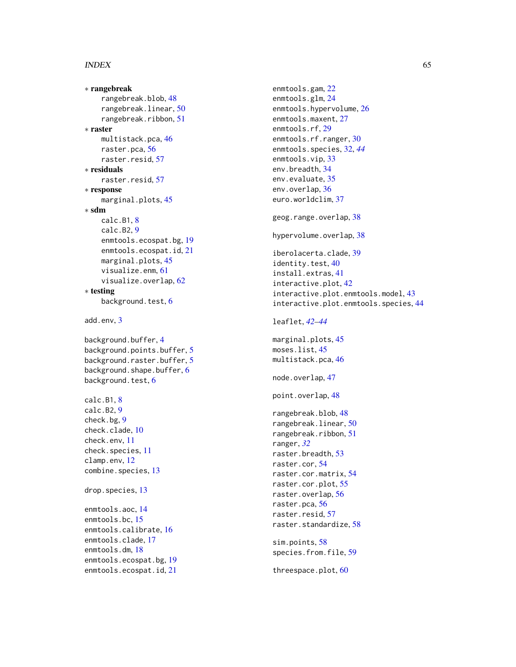#### $I<sub>N</sub>$  and  $I<sub>S</sub>$  and  $I<sub>S</sub>$  and  $I<sub>S</sub>$  and  $I<sub>S</sub>$  and  $I<sub>S</sub>$  and  $I<sub>S</sub>$  and  $I<sub>S</sub>$  and  $I<sub>S</sub>$  and  $I<sub>S</sub>$  and  $I<sub>S</sub>$  and  $I<sub>S</sub>$  and  $I<sub>S</sub>$  and  $I<sub>S</sub>$  and  $I<sub>S</sub>$  and  $I<sub>S</sub>$  a

```
∗ rangebreak
  rangebreak.blob
, 48
  rangebreak.linear
, 50
  rangebreak.ribbon
, 51
∗ raster
  46
  raster.pca
, 56
  57
∗ residuals
  57
∗ response
  45
∗ sdm
  8
  calc.B2
,
9
  19
  21
  45
  visualize.enm
, 61
  visualize.overlap
, 62
∗ testing
  6
add.env
,
3
4
5
5
6
6
8
calc.B2
,
9
check.bg
,
9
check.clade
, 10
check.env
, 11
check.species
, 11
clamp.env
, 12
13
drop.species
, 13
enmtools.aoc
, 14
enmtools.bc
, 15
16
enmtools.clade
, 17
enmtools.dm
, 18
19
21
```
enmtools.gam , [22](#page-21-0) enmtools.glm , [24](#page-23-0) enmtools.hypervolume, [26](#page-25-0) enmtools.maxent, [27](#page-26-0) enmtools.rf , [29](#page-28-0) enmtools.rf.ranger, [30](#page-29-0) enmtools.species , [32](#page-31-0) , *[44](#page-43-0)* enmtools.vip, [33](#page-32-0) env.breadth , [34](#page-33-0) env.evaluate, [35](#page-34-0) env.overlap, [36](#page-35-0) euro.worldclim , [37](#page-36-0) geog.range.overlap, [38](#page-37-0) hypervolume.overlap, [38](#page-37-0) iberolacerta.clade, [39](#page-38-0) identity.test, [40](#page-39-0) install.extras , [41](#page-40-0) interactive.plot , [42](#page-41-0) interactive.plot.enmtools.model , [43](#page-42-0) interactive.plot.enmtools.species , [44](#page-43-0) leaflet , *[42](#page-41-0) [–44](#page-43-0)* marginal.plots, [45](#page-44-0) moses.list , [45](#page-44-0) multistack.pca, [46](#page-45-0) node.overlap , [47](#page-46-0) point.overlap , [48](#page-47-0) rangebreak.blob , [48](#page-47-0) rangebreak.linear , [50](#page-49-0) rangebreak.ribbon, [51](#page-50-0) ranger , *[32](#page-31-0)* raster.breadth , [53](#page-52-0) raster.cor , [54](#page-53-0) raster.cor.matrix , [54](#page-53-0) raster.cor.plot, [55](#page-54-0) raster.overlap , [56](#page-55-0) raster.pca , [56](#page-55-0) raster.resid, [57](#page-56-0) raster.standardize, [58](#page-57-0) sim.points , [58](#page-57-0) species.from.file , [59](#page-58-0) threespace.plot , [60](#page-59-0)